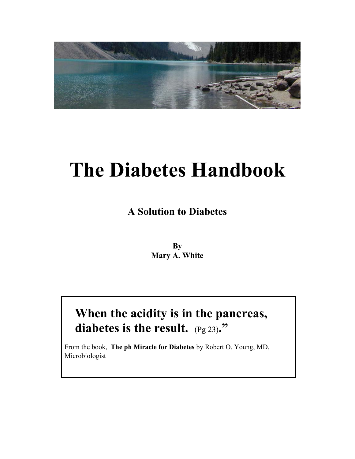

# The Diabetes Handbook

A Solution to Diabetes

By Mary A. White

# When the acidity is in the pancreas, diabetes is the result. (Pg 23)."

From the book, The ph Miracle for Diabetes by Robert O. Young, MD,  $Microbiologist$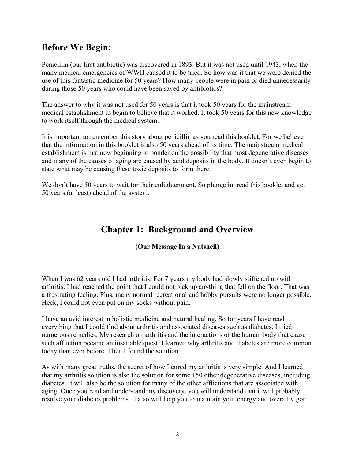# Before We Begin:

Penicillin (our first antibiotic) was discovered in 1893. But it was not used until 1943, when the many medical emergencies of WWII caused it to be tried. So how was it that we were denied the use of this fantastic medicine for 50 years? How many people were in pain or died unnecessarily during those 50 years who could have been saved by antibiotics?

The answer to why it was not used for 50 years is that it took 50 years for the mainstream medical establishment to begin to believe that it worked. It took 50 years for this new knowledge to work itself through the medical system.

It is important to remember this story about penicillin as you read this booklet. For we believe that the information in this booklet is also 50 years ahead of its time. The mainstream medical establishment is just now beginning to ponder on the possibility that most degenerative diseases and many of the causes of aging are caused by acid deposits in the body. It doesn't even begin to state what may be causing these toxic deposits to form there.

We don't have 50 years to wait for their enlightenment. So plunge in, read this booklet and get 50 years (at least) ahead of the system.

# Chapter 1: Background and Overview

#### (Our Message In a Nutshell)

When I was 62 years old I had arthritis. For 7 years my body had slowly stiffened up with arthritis. I had reached the point that I could not pick up anything that fell on the floor. That was a frustrating feeling. Plus, many normal recreational and hobby pursuits were no longer possible. Heck, I could not even put on my socks without pain.

I have an avid interest in holistic medicine and natural healing. So for years I have read everything that I could find about arthritis and associated diseases such as diabetes. I tried numerous remedies. My research on arthritis and the interactions of the human body that cause such affliction became an insatiable quest. I learned why arthritis and diabetes are more common today than ever before. Then I found the solution.

As with many great truths, the secret of how I cured my arthritis is very simple. And I learned that my arthritis solution is also the solution for some 150 other degenerative diseases, including diabetes. It will also be the solution for many of the other afflictions that are associated with aging. Once you read and understand my discovery, you will understand that it will probably resolve your diabetes problems. It also will help you to maintain your energy and overall vigor.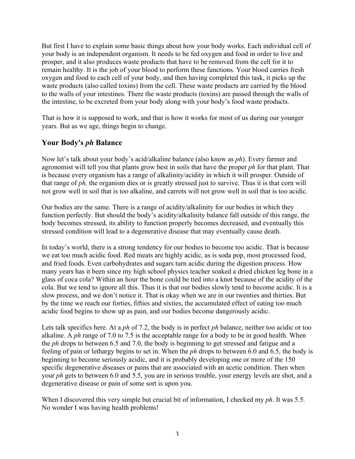But first I have to explain some basic things about how your body works. Each individual cell of your body is an independent organism. It needs to be fed oxygen and food in order to live and prosper, and it also produces waste products that have to be removed from the cell for it to remain healthy. It is the job of your blood to perform these functions. Your blood carries fresh oxygen and food to each cell of your body, and then having completed this task, it picks up the waste products (also called toxins) from the cell. These waste products are carried by the blood to the walls of your intestines. There the waste products (toxins) are passed through the walls of the intestine, to be excreted from your body along with your body's food waste products.

That is how it is supposed to work, and that is how it works for most of us during our younger years. But as we age, things begin to change.

### Your Body's *ph* Balance

Now let's talk about your body's acid/alkaline balance (also know as *ph*). Every farmer and agronomist will tell you that plants grow best in soils that have the proper *ph* for that plant. That is because every organism has a range of alkalinity/acidity in which it will prosper. Outside of that range of *ph,* the organism dies or is greatly stressed just to survive. Thus it is that corn will not grow well in soil that is too alkaline, and carrots will not grow well in soil that is too acidic.

Our bodies are the same. There is a range of acidity/alkalinity for our bodies in which they function perfectly. But should the body's acidity/alkalinity balance fall outside of this range, the body becomes stressed, its ability to function properly becomes decreased, and eventually this stressed condition will lead to a degenerative disease that may eventually cause death.

In today's world, there is a strong tendency for our bodies to become too acidic. That is because we eat too much acidic food. Red meats are highly acidic, as is soda pop, most processed food, and fried foods. Even carbohydrates and sugars turn acidic during the digestion process. How many years has it been since my high school physics teacher soaked a dried chicken leg bone in a glass of coca cola? Within an hour the bone could be tied into a knot because of the acidity of the cola. But we tend to ignore all this. Thus it is that our bodies slowly tend to become acidic. It is a slow process, and we don't notice it. That is okay when we are in our twenties and thirties. But by the time we reach our forties, fifties and sixties, the accumulated effect of eating too much acidic food begins to show up as pain, and our bodies become dangerously acidic.

Lets talk specifics here. At a *ph* of 7.2, the body is in perfect *ph* balance, neither too acidic or too alkaline. A *ph* range of 7.0 to 7.5 is the acceptable range for a body to be in good health. When the *ph* drops to between 6.5 and 7.0, the body is beginning to get stressed and fatigue and a feeling of pain or lethargy begins to set in. When the *ph* drops to between 6.0 and 6.5, the body is beginning to become seriously acidic, and it is probably developing one or more of the 150 specific degenerative diseases or pains that are associated with an acetic condition. Then when your *ph* gets to between 6.0 and 5.5, you are in serious trouble, your energy levels are shot, and a degenerative disease or pain of some sort is upon you.

When I discovered this very simple but crucial bit of information, I checked my *ph*. It was 5.5. No wonder I was having health problems!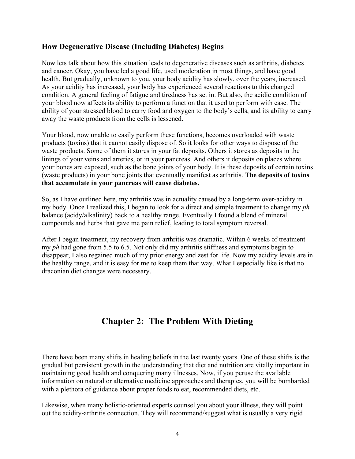#### How Degenerative Disease (Including Diabetes) Begins

Now lets talk about how this situation leads to degenerative diseases such as arthritis, diabetes and cancer. Okay, you have led a good life, used moderation in most things, and have good health. But gradually, unknown to you, your body acidity has slowly, over the years, increased. As your acidity has increased, your body has experienced several reactions to this changed condition. A general feeling of fatigue and tiredness has set in. But also, the acidic condition of your blood now affects its ability to perform a function that it used to perform with ease. The ability of your stressed blood to carry food and oxygen to the body's cells, and its ability to carry away the waste products from the cells is lessened.

Your blood, now unable to easily perform these functions, becomes overloaded with waste products (toxins) that it cannot easily dispose of. So it looks for other ways to dispose of the waste products. Some of them it stores in your fat deposits. Others it stores as deposits in the linings of your veins and arteries, or in your pancreas. And others it deposits on places where your bones are exposed, such as the bone joints of your body. It is these deposits of certain toxins (waste products) in your bone joints that eventually manifest as arthritis. The deposits of toxins that accumulate in your pancreas will cause diabetes.

So, as I have outlined here, my arthritis was in actuality caused by a long-term over-acidity in my body. Once I realized this, I began to look for a direct and simple treatment to change my *ph* balance (acidy/alkalinity) back to a healthy range. Eventually I found a blend of mineral compounds and herbs that gave me pain relief, leading to total symptom reversal.

After I began treatment, my recovery from arthritis was dramatic. Within 6 weeks of treatment my *ph* had gone from 5.5 to 6.5. Not only did my arthritis stiffness and symptoms begin to disappear, I also regained much of my prior energy and zest for life. Now my acidity levels are in the healthy range, and it is easy for me to keep them that way. What I especially like is that no draconian diet changes were necessary.

# Chapter 2: The Problem With Dieting

There have been many shifts in healing beliefs in the last twenty years. One of these shifts is the gradual but persistent growth in the understanding that diet and nutrition are vitally important in maintaining good health and conquering many illnesses. Now, if you peruse the available information on natural or alternative medicine approaches and therapies, you will be bombarded with a plethora of guidance about proper foods to eat, recommended diets, etc.

Likewise, when many holistic-oriented experts counsel you about your illness, they will point out the acidity-arthritis connection. They will recommend/suggest what is usually a very rigid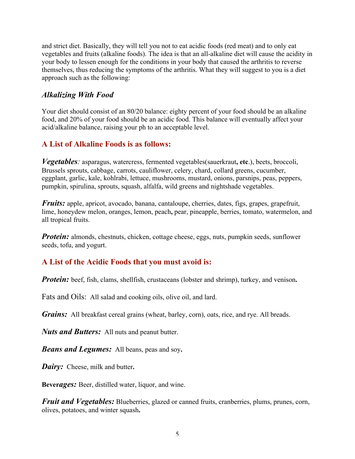and strict diet. Basically, they will tell you not to eat acidic foods (red meat) and to only eat vegetables and fruits (alkaline foods). The idea is that an all-alkaline diet will cause the acidity in your body to lessen enough for the conditions in your body that caused the arthritis to reverse themselves, thus reducing the symptoms of the arthritis. What they will suggest to you is a diet approach such as the following:

### *Alkalizing With Food*

Your diet should consist of an 80/20 balance: eighty percent of your food should be an alkaline food, and 20% of your food should be an acidic food. This balance will eventually affect your acid/alkaline balance, raising your ph to an acceptable level.

## A List of Alkaline Foods is as follows:

*Vegetables*: asparagus, watercress, fermented vegetables(sauerkraut, etc.), beets, broccoli, Brussels sprouts, cabbage, carrots, cauliflower, celery, chard, collard greens, cucumber, eggplant, garlic, kale, kohlrabi, lettuce, mushrooms, mustard, onions, parsnips, peas, peppers, pumpkin, spirulina, sprouts, squash, alfalfa, wild greens and nightshade vegetables.

*Fruits:* apple, apricot, avocado, banana, cantaloupe, cherries, dates, figs, grapes, grapefruit, lime, honeydew melon, oranges, lemon, peach, pear, pineapple, berries, tomato, watermelon, and all tropical fruits.

*Protein:* almonds, chestnuts, chicken, cottage cheese, eggs, nuts, pumpkin seeds, sunflower seeds, tofu, and yogurt.

## A List of the Acidic Foods that you must avoid is:

*Protein:* beef, fish, clams, shellfish, crustaceans (lobster and shrimp), turkey, and venison.

Fats and Oils: All salad and cooking oils, olive oil, and lard.

*Grains:* All breakfast cereal grains (wheat, barley, corn), oats, rice, and rye. All breads.

*Nuts and Butters:* All nuts and peanut butter.

*Beans and Legumes:* All beans, peas and soy.

*Dairy:* Cheese, milk and butter.

Bever*ages:* Beer, distilled water, liquor, and wine.

*Fruit and Vegetables:* Blueberries, glazed or canned fruits, cranberries, plums, prunes, corn, olives, potatoes, and winter squash.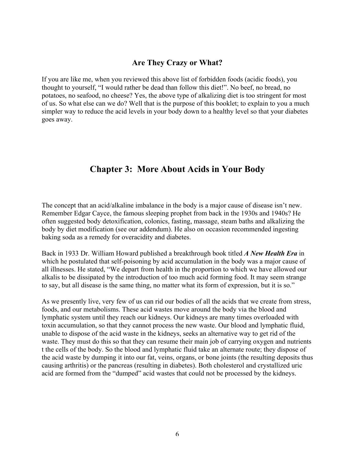#### Are They Crazy or What?

If you are like me, when you reviewed this above list of forbidden foods (acidic foods), you thought to yourself, "I would rather be dead than follow this diet!". No beef, no bread, no potatoes, no seafood, no cheese? Yes, the above type of alkalizing diet is too stringent for most of us. So what else can we do? Well that is the purpose of this booklet; to explain to you a much simpler way to reduce the acid levels in your body down to a healthy level so that your diabetes goes away.

# Chapter 3: More About Acids in Your Body

The concept that an acid/alkaline imbalance in the body is a major cause of disease isn't new. Remember Edgar Cayce, the famous sleeping prophet from back in the 1930s and 1940s? He often suggested body detoxification, colonics, fasting, massage, steam baths and alkalizing the body by diet modification (see our addendum). He also on occasion recommended ingesting baking soda as a remedy for overacidity and diabetes.

Back in 1933 Dr. William Howard published a breakthrough book titled *A New Health Era* in which he postulated that self-poisoning by acid accumulation in the body was a major cause of all illnesses. He stated, "We depart from health in the proportion to which we have allowed our alkalis to be dissipated by the introduction of too much acid forming food. It may seem strange to say, but all disease is the same thing, no matter what its form of expression, but it is so."

As we presently live, very few of us can rid our bodies of all the acids that we create from stress, foods, and our metabolisms. These acid wastes move around the body via the blood and lymphatic system until they reach our kidneys. Our kidneys are many times overloaded with toxin accumulation, so that they cannot process the new waste. Our blood and lymphatic fluid, unable to dispose of the acid waste in the kidneys, seeks an alternative way to get rid of the waste. They must do this so that they can resume their main job of carrying oxygen and nutrients t the cells of the body. So the blood and lymphatic fluid take an alternate route; they dispose of the acid waste by dumping it into our fat, veins, organs, or bone joints (the resulting deposits thus causing arthritis) or the pancreas (resulting in diabetes). Both cholesterol and crystallized uric acid are formed from the "dumped" acid wastes that could not be processed by the kidneys.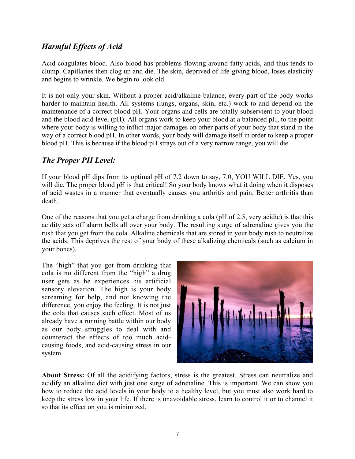## *Harmful Effects of Acid*

Acid coagulates blood. Also blood has problems flowing around fatty acids, and thus tends to clump. Capillaries then clog up and die. The skin, deprived of life-giving blood, loses elasticity and begins to wrinkle. We begin to look old.

It is not only your skin. Without a proper acid/alkaline balance, every part of the body works harder to maintain health. All systems (lungs, organs, skin, etc.) work to and depend on the maintenance of a correct blood pH. Your organs and cells are totally subservient to your blood and the blood acid level (pH). All organs work to keep your blood at a balanced pH, to the point where your body is willing to inflict major damages on other parts of your body that stand in the way of a correct blood pH. In other words, your body will damage itself in order to keep a proper blood pH. This is because if the blood pH strays out of a very narrow range, you will die.

### *The Proper PH Level:*

If your blood pH dips from its optimal pH of 7.2 down to say, 7.0, YOU WILL DIE. Yes, you will die. The proper blood pH is that critical! So your body knows what it doing when it disposes of acid wastes in a manner that eventually causes you arthritis and pain. Better arthritis than death.

One of the reasons that you get a charge from drinking a cola (pH of 2.5, very acidic) is that this acidity sets off alarm bells all over your body. The resulting surge of adrenaline gives you the rush that you get from the cola. Alkaline chemicals that are stored in your body rush to neutralize the acids. This deprives the rest of your body of these alkalizing chemicals (such as calcium in your bones).

The "high" that you got from drinking that cola is no different from the "high" a drug user gets as he experiences his artificial sensory elevation. The high is your body screaming for help, and not knowing the difference, you enjoy the feeling. It is not just the cola that causes such effect. Most of us already have a running battle within our body as our body struggles to deal with and counteract the effects of too much acidcausing foods, and acid-causing stress in our system.



About Stress: Of all the acidifying factors, stress is the greatest. Stress can neutralize and acidify an alkaline diet with just one surge of adrenaline. This is important. We can show you how to reduce the acid levels in your body to a healthy level, but you must also work hard to keep the stress low in your life. If there is unavoidable stress, learn to control it or to channel it so that its effect on you is minimized.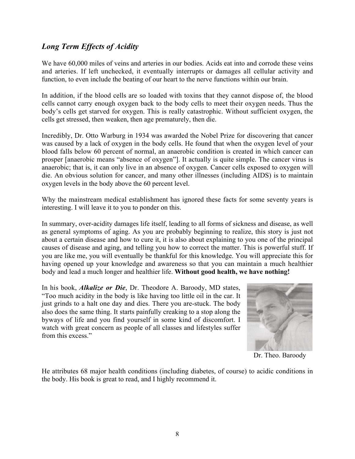## *Long Term Effects of Acidity*

We have 60,000 miles of veins and arteries in our bodies. Acids eat into and corrode these veins and arteries. If left unchecked, it eventually interrupts or damages all cellular activity and function, to even include the beating of our heart to the nerve functions within our brain.

In addition, if the blood cells are so loaded with toxins that they cannot dispose of, the blood cells cannot carry enough oxygen back to the body cells to meet their oxygen needs. Thus the body's cells get starved for oxygen. This is really catastrophic. Without sufficient oxygen, the cells get stressed, then weaken, then age prematurely, then die.

Incredibly, Dr. Otto Warburg in 1934 was awarded the Nobel Prize for discovering that cancer was caused by a lack of oxygen in the body cells. He found that when the oxygen level of your blood falls below 60 percent of normal, an anaerobic condition is created in which cancer can prosper [anaerobic means "absence of oxygen"]. It actually is quite simple. The cancer virus is anaerobic; that is, it can only live in an absence of oxygen. Cancer cells exposed to oxygen will die. An obvious solution for cancer, and many other illnesses (including AIDS) is to maintain oxygen levels in the body above the 60 percent level.

Why the mainstream medical establishment has ignored these facts for some seventy years is interesting. I will leave it to you to ponder on this.

In summary, over-acidity damages life itself, leading to all forms of sickness and disease, as well as general symptoms of aging. As you are probably beginning to realize, this story is just not about a certain disease and how to cure it, it is also about explaining to you one of the principal causes of disease and aging, and telling you how to correct the matter. This is powerful stuff. If you are like me, you will eventually be thankful for this knowledge. You will appreciate this for having opened up your knowledge and awareness so that you can maintain a much healthier body and lead a much longer and healthier life. Without good health, we have nothing!

In his book, *Alkalize or Die*, Dr. Theodore A. Baroody, MD states, "Too much acidity in the body is like having too little oil in the car. It just grinds to a halt one day and dies. There you are-stuck. The body also does the same thing. It starts painfully creaking to a stop along the byways of life and you find yourself in some kind of discomfort. I watch with great concern as people of all classes and lifestyles suffer from this excess."



Dr. Theo. Baroody

He attributes 68 major health conditions (including diabetes, of course) to acidic conditions in the body. His book is great to read, and I highly recommend it.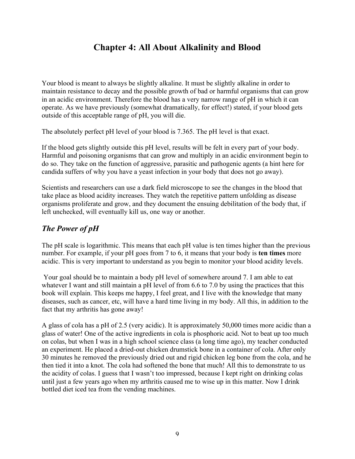# Chapter 4: All About Alkalinity and Blood

Your blood is meant to always be slightly alkaline. It must be slightly alkaline in order to maintain resistance to decay and the possible growth of bad or harmful organisms that can grow in an acidic environment. Therefore the blood has a very narrow range of pH in which it can operate. As we have previously (somewhat dramatically, for effect!) stated, if your blood gets outside of this acceptable range of pH, you will die.

The absolutely perfect pH level of your blood is 7.365. The pH level is that exact.

If the blood gets slightly outside this pH level, results will be felt in every part of your body. Harmful and poisoning organisms that can grow and multiply in an acidic environment begin to do so. They take on the function of aggressive, parasitic and pathogenic agents (a hint here for candida suffers of why you have a yeast infection in your body that does not go away).

Scientists and researchers can use a dark field microscope to see the changes in the blood that take place as blood acidity increases. They watch the repetitive pattern unfolding as disease organisms proliferate and grow, and they document the ensuing debilitation of the body that, if left unchecked, will eventually kill us, one way or another.

## *The Power of pH*

The pH scale is logarithmic. This means that each pH value is ten times higher than the previous number. For example, if your pH goes from 7 to 6, it means that your body is **ten times** more acidic. This is very important to understand as you begin to monitor your blood acidity levels.

 Your goal should be to maintain a body pH level of somewhere around 7. I am able to eat whatever I want and still maintain a pH level of from 6.6 to 7.0 by using the practices that this book will explain. This keeps me happy, I feel great, and I live with the knowledge that many diseases, such as cancer, etc, will have a hard time living in my body. All this, in addition to the fact that my arthritis has gone away!

A glass of cola has a pH of 2.5 (very acidic). It is approximately 50,000 times more acidic than a glass of water! One of the active ingredients in cola is phosphoric acid. Not to beat up too much on colas, but when I was in a high school science class (a long time ago), my teacher conducted an experiment. He placed a dried-out chicken drumstick bone in a container of cola. After only 30 minutes he removed the previously dried out and rigid chicken leg bone from the cola, and he then tied it into a knot. The cola had softened the bone that much! All this to demonstrate to us the acidity of colas. I guess that I wasn't too impressed, because I kept right on drinking colas until just a few years ago when my arthritis caused me to wise up in this matter. Now I drink bottled diet iced tea from the vending machines.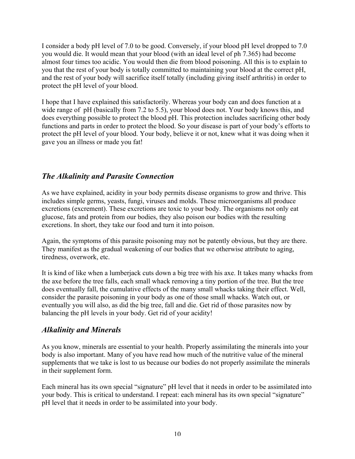I consider a body pH level of 7.0 to be good. Conversely, if your blood pH level dropped to 7.0 you would die. It would mean that your blood (with an ideal level of ph 7.365) had become almost four times too acidic. You would then die from blood poisoning. All this is to explain to you that the rest of your body is totally committed to maintaining your blood at the correct pH, and the rest of your body will sacrifice itself totally (including giving itself arthritis) in order to protect the pH level of your blood.

I hope that I have explained this satisfactorily. Whereas your body can and does function at a wide range of pH (basically from 7.2 to 5.5), your blood does not. Your body knows this, and does everything possible to protect the blood pH. This protection includes sacrificing other body functions and parts in order to protect the blood. So your disease is part of your body's efforts to protect the pH level of your blood. Your body, believe it or not, knew what it was doing when it gave you an illness or made you fat!

## *The Alkalinity and Parasite Connection*

As we have explained, acidity in your body permits disease organisms to grow and thrive. This includes simple germs, yeasts, fungi, viruses and molds. These microorganisms all produce excretions (excrement). These excretions are toxic to your body. The organisms not only eat glucose, fats and protein from our bodies, they also poison our bodies with the resulting excretions. In short, they take our food and turn it into poison.

Again, the symptoms of this parasite poisoning may not be patently obvious, but they are there. They manifest as the gradual weakening of our bodies that we otherwise attribute to aging, tiredness, overwork, etc.

It is kind of like when a lumberjack cuts down a big tree with his axe. It takes many whacks from the axe before the tree falls, each small whack removing a tiny portion of the tree. But the tree does eventually fall, the cumulative effects of the many small whacks taking their effect. Well, consider the parasite poisoning in your body as one of those small whacks. Watch out, or eventually you will also, as did the big tree, fall and die. Get rid of those parasites now by balancing the pH levels in your body. Get rid of your acidity!

### *Alkalinity and Minerals*

As you know, minerals are essential to your health. Properly assimilating the minerals into your body is also important. Many of you have read how much of the nutritive value of the mineral supplements that we take is lost to us because our bodies do not properly assimilate the minerals in their supplement form.

Each mineral has its own special "signature" pH level that it needs in order to be assimilated into your body. This is critical to understand. I repeat: each mineral has its own special "signature" pH level that it needs in order to be assimilated into your body.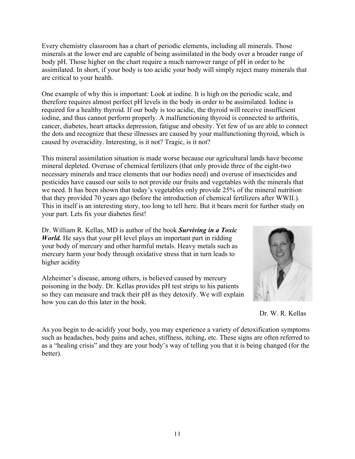Every chemistry classroom has a chart of periodic elements, including all minerals. Those minerals at the lower end are capable of being assimilated in the body over a broader range of body pH. Those higher on the chart require a much narrower range of pH in order to be assimilated. In short, if your body is too acidic your body will simply reject many minerals that are critical to your health.

One example of why this is important: Look at iodine. It is high on the periodic scale, and therefore requires almost perfect pH levels in the body in order to be assimilated. Iodine is required for a healthy thyroid. If our body is too acidic, the thyroid will receive insufficient iodine, and thus cannot perform properly. A malfunctioning thyroid is connected to arthritis, cancer, diabetes, heart attacks depression, fatigue and obesity. Yet few of us are able to connect the dots and recognize that these illnesses are caused by your malfunctioning thyroid, which is caused by overacidity. Interesting, is it not? Tragic, is it not?

This mineral assimilation situation is made worse because our agricultural lands have become mineral depleted. Overuse of chemical fertilizers (that only provide three of the eight-two necessary minerals and trace elements that our bodies need) and overuse of insecticides and pesticides have caused our soils to not provide our fruits and vegetables with the minerals that we need. It has been shown that today's vegetables only provide 25% of the mineral nutrition that they provided 70 years ago (before the introduction of chemical fertilizers after WWII.). This in itself is an interesting story, too long to tell here. But it bears merit for further study on your part. Lets fix your diabetes first!

Dr. William R. Kellas, MD is author of the book *Surviving in a Toxic World.* He says that your pH level plays an important part in ridding your body of mercury and other harmful metals. Heavy metals such as mercury harm your body through oxidative stress that in turn leads to higher acidity

Alzheimer's disease, among others, is believed caused by mercury poisoning in the body. Dr. Kellas provides pH test strips to his patients so they can measure and track their pH as they detoxify. We will explain how you can do this later in the book.



Dr. W. R. Kellas

As you begin to de-acidify your body, you may experience a variety of detoxification symptoms such as headaches, body pains and aches, stiffness, itching, etc. These signs are often referred to as a "healing crisis" and they are your body's way of telling you that it is being changed (for the better).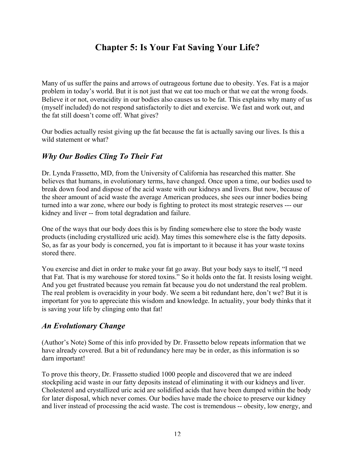# Chapter 5: Is Your Fat Saving Your Life?

Many of us suffer the pains and arrows of outrageous fortune due to obesity. Yes. Fat is a major problem in today's world. But it is not just that we eat too much or that we eat the wrong foods. Believe it or not, overacidity in our bodies also causes us to be fat. This explains why many of us (myself included) do not respond satisfactorily to diet and exercise. We fast and work out, and the fat still doesn't come off. What gives?

Our bodies actually resist giving up the fat because the fat is actually saving our lives. Is this a wild statement or what?

### *Why Our Bodies Cling To Their Fat*

Dr. Lynda Frassetto, MD, from the University of California has researched this matter. She believes that humans, in evolutionary terms, have changed. Once upon a time, our bodies used to break down food and dispose of the acid waste with our kidneys and livers. But now, because of the sheer amount of acid waste the average American produces, she sees our inner bodies being turned into a war zone, where our body is fighting to protect its most strategic reserves --- our kidney and liver -- from total degradation and failure.

One of the ways that our body does this is by finding somewhere else to store the body waste products (including crystallized uric acid). May times this somewhere else is the fatty deposits. So, as far as your body is concerned, you fat is important to it because it has your waste toxins stored there.

You exercise and diet in order to make your fat go away. But your body says to itself, "I need that Fat. That is my warehouse for stored toxins." So it holds onto the fat. It resists losing weight. And you get frustrated because you remain fat because you do not understand the real problem. The real problem is overacidity in your body. We seem a bit redundant here, don't we? But it is important for you to appreciate this wisdom and knowledge. In actuality, your body thinks that it is saving your life by clinging onto that fat!

### *An Evolutionary Change*

(Author's Note) Some of this info provided by Dr. Frassetto below repeats information that we have already covered. But a bit of redundancy here may be in order, as this information is so darn important!

To prove this theory, Dr. Frassetto studied 1000 people and discovered that we are indeed stockpiling acid waste in our fatty deposits instead of eliminating it with our kidneys and liver. Cholesterol and crystallized uric acid are solidified acids that have been dumped within the body for later disposal, which never comes. Our bodies have made the choice to preserve our kidney and liver instead of processing the acid waste. The cost is tremendous -- obesity, low energy, and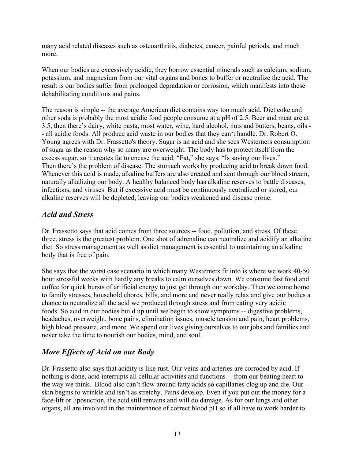many acid related diseases such as osteoarthritis, diabetes, cancer, painful periods, and much more.

When our bodies are excessively acidic, they borrow essential minerals such as calcium, sodium, potassium, and magnesium from our vital organs and bones to buffer or neutralize the acid. The result is our bodies suffer from prolonged degradation or corrosion, which manifests into these dehabilitating conditions and pains.

The reason is simple -- the average American diet contains way too much acid. Diet coke and other soda is probably the most acidic food people consume at a pH of 2.5. Beer and meat are at 3.5, then there's dairy, white pasta, most water, wine, hard alcohol, nuts and butters, beans, oils - - all acidic foods. All produce acid waste in our bodies that they can't handle. Dr. Robert O. Young agrees with Dr. Frassetto's theory. Sugar is an acid and she sees Westerners consumption of sugar as the reason why so many are overweight. The body has to protect itself from the excess sugar, so it creates fat to encase the acid. "Fat," she says. "Is saving our lives." Then there's the problem of disease. The stomach works by producing acid to break down food. Whenever this acid is made, alkaline buffers are also created and sent through our blood stream, naturally alkalizing our body. A healthy balanced body has alkaline reserves to battle diseases, infections, and viruses. But if excessive acid must be continuously neutralized or stored, our alkaline reserves will be depleted, leaving our bodies weakened and disease prone.

#### *Acid and Stress*

Dr. Frassetto says that acid comes from three sources -- food, pollution, and stress. Of these three, stress is the greatest problem. One shot of adrenaline can neutralize and acidify an alkaline diet. So stress management as well as diet management is essential to maintaining an alkaline body that is free of pain.

She says that the worst case scenario in which many Westerners fit into is where we work 40-50 hour stressful weeks with hardly any breaks to calm ourselves down. We consume fast food and coffee for quick bursts of artificial energy to just get through our workday. Then we come home to family stresses, household chores, bills, and more and never really relax and give our bodies a chance to neutralize all the acid we produced through stress and from eating very acidic foods. So acid in our bodies build up until we begin to show symptoms -- digestive problems, headaches, overweight, bone pains, elimination issues, muscle tension and pain, heart problems, high blood pressure, and more. We spend our lives giving ourselves to our jobs and families and never take the time to nourish our bodies, mind, and soul.

## *More Effects of Acid on our Body*

Dr. Frassetto also says that acidity is like rust. Our veins and arteries are corroded by acid. If nothing is done, acid interrupts all cellular activities and functions -- from our beating heart to the way we think. Blood also can't flow around fatty acids so capillaries clog up and die. Our skin begins to wrinkle and isn't as stretchy. Pains develop. Even if you put out the money for a face-lift or liposuction, the acid still remains and will do damage. As for our lungs and other organs, all are involved in the maintenance of correct blood pH so if all have to work harder to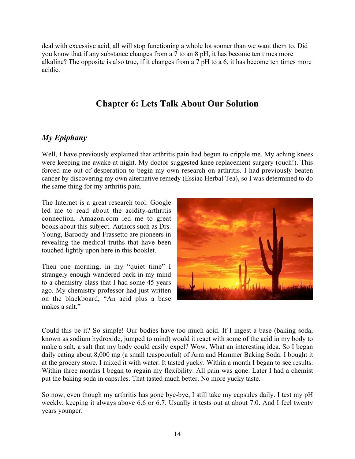deal with excessive acid, all will stop functioning a whole lot sooner than we want them to. Did you know that if any substance changes from a 7 to an 8 pH, it has become ten times more alkaline? The opposite is also true, if it changes from a 7 pH to a 6, it has become ten times more acidic.

# Chapter 6: Lets Talk About Our Solution

## *My Epiphany*

Well, I have previously explained that arthritis pain had begun to cripple me. My aching knees were keeping me awake at night. My doctor suggested knee replacement surgery (ouch!). This forced me out of desperation to begin my own research on arthritis. I had previously beaten cancer by discovering my own alternative remedy (Essiac Herbal Tea), so I was determined to do the same thing for my arthritis pain.

The Internet is a great research tool. Google led me to read about the acidity-arthritis connection. Amazon.com led me to great books about this subject. Authors such as Drs. Young, Baroody and Frassetto are pioneers in revealing the medical truths that have been touched lightly upon here in this booklet.

Then one morning, in my "quiet time" I strangely enough wandered back in my mind to a chemistry class that I had some 45 years ago. My chemistry professor had just written on the blackboard, "An acid plus a base makes a salt."



Could this be it? So simple! Our bodies have too much acid. If I ingest a base (baking soda, known as sodium hydroxide, jumped to mind) would it react with some of the acid in my body to make a salt, a salt that my body could easily expel? Wow. What an interesting idea. So I began daily eating about 8,000 mg (a small teaspoonful) of Arm and Hammer Baking Soda. I bought it at the grocery store. I mixed it with water. It tasted yucky. Within a month I began to see results. Within three months I began to regain my flexibility. All pain was gone. Later I had a chemist put the baking soda in capsules. That tasted much better. No more yucky taste.

So now, even though my arthritis has gone bye-bye, I still take my capsules daily. I test my pH weekly, keeping it always above 6.6 or 6.7. Usually it tests out at about 7.0. And I feel twenty years younger.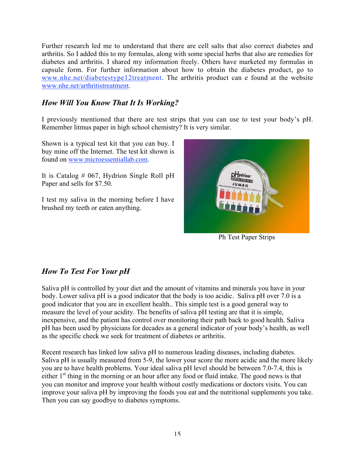Further research led me to understand that there are cell salts that also correct diabetes and arthritis. So I added this to my formulas, along with some special herbs that also are remedies for diabetes and arthritis. I shared my information freely. Others have marketed my formulas in capsule form. For further information about how to obtain the diabetes product, go to www.nhe.net/diabetestype12treatment. The arthritis product can e found at the website www.nhe.net/arthritistreatment.

## *How Will You Know That It Is Working?*

I previously mentioned that there are test strips that you can use to test your body's pH. Remember litmus paper in high school chemistry? It is very similar.

Shown is a typical test kit that you can buy. I buy mine off the Internet. The test kit shown is found on www.microessentiallab.com.

It is Catalog # 067, Hydrion Single Roll pH Paper and sells for \$7.50.

I test my saliva in the morning before I have brushed my teeth or eaten anything.



Ph Test Paper Strips

## *How To Test For Your pH*

Saliva pH is controlled by your diet and the amount of vitamins and minerals you have in your body. Lower saliva pH is a good indicator that the body is too acidic. Saliva pH over 7.0 is a good indicator that you are in excellent health.. This simple test is a good general way to measure the level of your acidity. The benefits of saliva pH testing are that it is simple, inexpensive, and the patient has control over monitoring their path back to good health. Saliva pH has been used by physicians for decades as a general indicator of your body's health, as well as the specific check we seek for treatment of diabetes or arthritis.

Recent research has linked low saliva pH to numerous leading diseases, including diabetes. Saliva pH is usually measured from 5-9, the lower your score the more acidic and the more likely you are to have health problems. Your ideal saliva pH level should be between 7.0-7.4, this is either  $1<sup>st</sup>$  thing in the morning or an hour after any food or fluid intake. The good news is that you can monitor and improve your health without costly medications or doctors visits. You can improve your saliva pH by improving the foods you eat and the nutritional supplements you take. Then you can say goodbye to diabetes symptoms.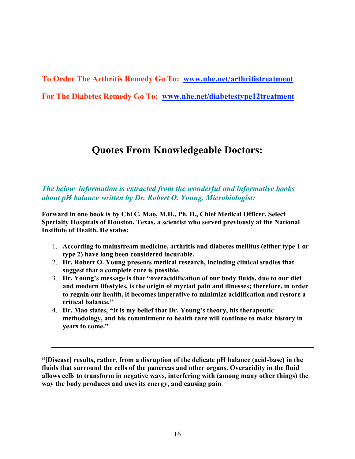To Order The Arthritis Remedy Go To: www.nhe.net/arthritistreatment

For The Diabetes Remedy Go To: www.nhe.net/diabetestype12treatment

# Quotes From Knowledgeable Doctors:

*The below information is extracted from the wonderful and informative books about pH balance written by Dr. Robert O. Young, Microbiologist:*

Forward in one book is by Chi C. Mao, M.D., Ph. D., Chief Medical Officer, Select Specialty Hospitals of Houston, Texas, a scientist who served previously at the National Institute of Health. He states:

- 1. According to mainstream medicine, arthritis and diabetes mellitus (either type 1 or type 2) have long been considered incurable.
- 2. Dr. Robert O. Young presents medical research, including clinical studies that suggest that a complete cure is possible.
- 3. Dr. Young's message is that "overacidification of our body fluids, due to our diet and modern lifestyles, is the origin of myriad pain and illnesses; therefore, in order to regain our health, it becomes imperative to minimize acidification and restore a critical balance."
- 4. Dr. Mao states, "It is my belief that Dr. Young's theory, his therapeutic methodology, and his commitment to health care will continue to make history in years to come."

<sup>&</sup>quot;[Disease] results, rather, from a disruption of the delicate pH balance (acid-base) in the fluids that surround the cells of the pancreas and other organs. Overacidity in the fluid allows cells to transform in negative ways, interfering with (among many other things) the way the body produces and uses its energy, and causing pain.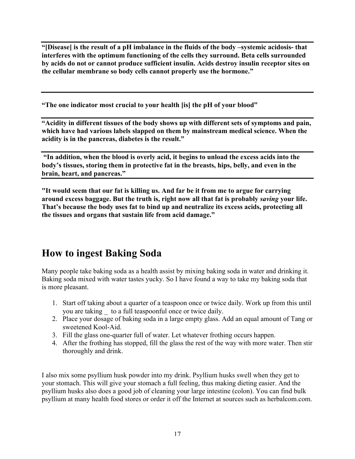"[Disease] is the result of a pH imbalance in the fluids of the body –systemic acidosis- that interferes with the optimum functioning of the cells they surround. Beta cells surrounded by acids do not or cannot produce sufficient insulin. Acids destroy insulin receptor sites on the cellular membrane so body cells cannot properly use the hormone."

"The one indicator most crucial to your health [is] the pH of your blood"

"Acidity in different tissues of the body shows up with different sets of symptoms and pain, which have had various labels slapped on them by mainstream medical science. When the acidity is in the pancreas, diabetes is the result."

 "In addition, when the blood is overly acid, it begins to unload the excess acids into the body's tissues, storing them in protective fat in the breasts, hips, belly, and even in the brain, heart, and pancreas."

"It would seem that our fat is killing us. And far be it from me to argue for carrying around excess baggage. But the truth is, right now all that fat is probably *saving* your life. That's because the body uses fat to bind up and neutralize its excess acids, protecting all the tissues and organs that sustain life from acid damage."

# How to ingest Baking Soda

Many people take baking soda as a health assist by mixing baking soda in water and drinking it. Baking soda mixed with water tastes yucky. So I have found a way to take my baking soda that is more pleasant.

- 1. Start off taking about a quarter of a teaspoon once or twice daily. Work up from this until you are taking \_ to a full teaspoonful once or twice daily.
- 2. Place your dosage of baking soda in a large empty glass. Add an equal amount of Tang or sweetened Kool-Aid.
- 3. Fill the glass one-quarter full of water. Let whatever frothing occurs happen.
- 4. After the frothing has stopped, fill the glass the rest of the way with more water. Then stir thoroughly and drink.

I also mix some psyllium husk powder into my drink. Psyllium husks swell when they get to your stomach. This will give your stomach a full feeling, thus making dieting easier. And the psyllium husks also does a good job of cleaning your large intestine (colon). You can find bulk psyllium at many health food stores or order it off the Internet at sources such as herbalcom.com.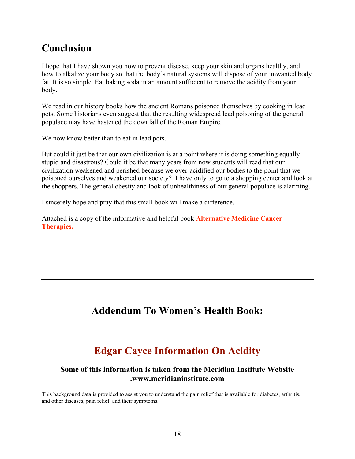# Conclusion

I hope that I have shown you how to prevent disease, keep your skin and organs healthy, and how to alkalize your body so that the body's natural systems will dispose of your unwanted body fat. It is so simple. Eat baking soda in an amount sufficient to remove the acidity from your body.

We read in our history books how the ancient Romans poisoned themselves by cooking in lead pots. Some historians even suggest that the resulting widespread lead poisoning of the general populace may have hastened the downfall of the Roman Empire.

We now know better than to eat in lead pots.

But could it just be that our own civilization is at a point where it is doing something equally stupid and disastrous? Could it be that many years from now students will read that our civilization weakened and perished because we over-acidified our bodies to the point that we poisoned ourselves and weakened our society? I have only to go to a shopping center and look at the shoppers. The general obesity and look of unhealthiness of our general populace is alarming.

I sincerely hope and pray that this small book will make a difference.

Attached is a copy of the informative and helpful book Alternative Medicine Cancer Therapies.

# Addendum To Women's Health Book:

# Edgar Cayce Information On Acidity

#### Some of this information is taken from the Meridian Institute Website .www.meridianinstitute.com

This background data is provided to assist you to understand the pain relief that is available for diabetes, arthritis, and other diseases, pain relief, and their symptoms.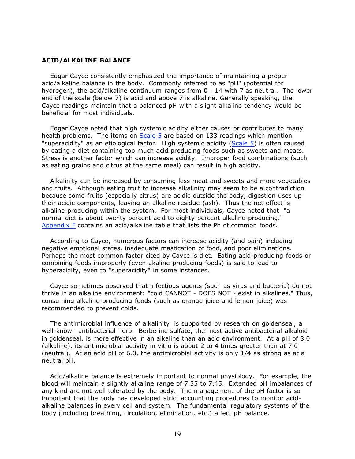#### **ACID/ALKALINE BALANCE**

 Edgar Cayce consistently emphasized the importance of maintaining a proper acid/alkaline balance in the body. Commonly referred to as "pH" (potential for hydrogen), the acid/alkaline continuum ranges from 0 - 14 with 7 as neutral. The lower end of the scale (below 7) is acid and above 7 is alkaline. Generally speaking, the Cayce readings maintain that a balanced pH with a slight alkaline tendency would be beneficial for most individuals.

 Edgar Cayce noted that high systemic acidity either causes or contributes to many health problems. The items on Scale 5 are based on 133 readings which mention "superacidity" as an etiological factor. High systemic acidity (Scale 5) is often caused by eating a diet containing too much acid producing foods such as sweets and meats. Stress is another factor which can increase acidity. Improper food combinations (such as eating grains and citrus at the same meal) can result in high acidity.

 Alkalinity can be increased by consuming less meat and sweets and more vegetables and fruits. Although eating fruit to increase alkalinity may seem to be a contradiction because some fruits (especially citrus) are acidic outside the body, digestion uses up their acidic components, leaving an alkaline residue (ash). Thus the net effect is alkaline-producing within the system. For most individuals, Cayce noted that "a normal diet is about twenty percent acid to eighty percent alkaline-producing." Appendix F contains an acid/alkaline table that lists the Ph of common foods.

 According to Cayce, numerous factors can increase acidity (and pain) including negative emotional states, inadequate mastication of food, and poor eliminations. Perhaps the most common factor cited by Cayce is diet. Eating acid-producing foods or combining foods improperly (even akaline-producing foods) is said to lead to hyperacidity, even to "superacidity" in some instances.

 Cayce sometimes observed that infectious agents (such as virus and bacteria) do not thrive in an alkaline environment: "cold CANNOT - DOES NOT - exist in alkalines." Thus, consuming alkaline-producing foods (such as orange juice and lemon juice) was recommended to prevent colds.

 The antimicrobial influence of alkalinity is supported by research on goldenseal, a well-known antibacterial herb. Berberine sulfate, the most active antibacterial alkaloid in goldenseal, is more effective in an alkaline than an acid environment. At a pH of 8.0 (alkaline), its antimicrobial activity in vitro is about 2 to 4 times greater than at 7.0 (neutral). At an acid pH of 6.0, the antimicrobial activity is only 1/4 as strong as at a neutral pH.

 Acid/alkaline balance is extremely important to normal physiology. For example, the blood will maintain a slightly alkaline range of 7.35 to 7.45. Extended pH imbalances of any kind are not well tolerated by the body. The management of the pH factor is so important that the body has developed strict accounting procedures to monitor acidalkaline balances in every cell and system. The fundamental regulatory systems of the body (including breathing, circulation, elimination, etc.) affect pH balance.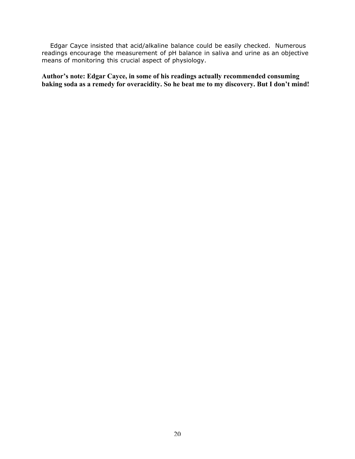Edgar Cayce insisted that acid/alkaline balance could be easily checked. Numerous readings encourage the measurement of pH balance in saliva and urine as an objective means of monitoring this crucial aspect of physiology.

Author's note: Edgar Cayce, in some of his readings actually recommended consuming baking soda as a remedy for overacidity. So he beat me to my discovery. But I don't mind!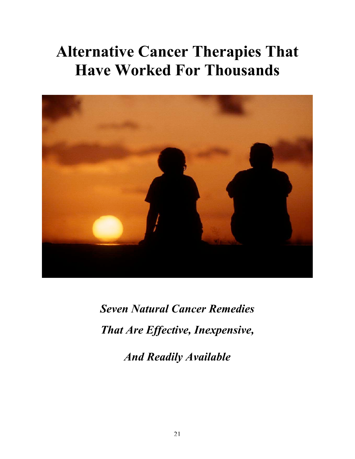# Alternative Cancer Therapies That Have Worked For Thousands



*Seven Natural Cancer Remedies That Are Effective, Inexpensive,*

*And Readily Available*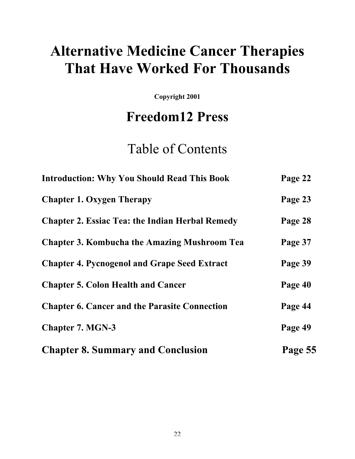# Alternative Medicine Cancer Therapies That Have Worked For Thousands

Copyright 2001

# Freedom12 Press

# Table of Contents

| <b>Introduction: Why You Should Read This Book</b>     | Page 22 |
|--------------------------------------------------------|---------|
| <b>Chapter 1. Oxygen Therapy</b>                       | Page 23 |
| <b>Chapter 2. Essiac Tea: the Indian Herbal Remedy</b> | Page 28 |
| <b>Chapter 3. Kombucha the Amazing Mushroom Tea</b>    | Page 37 |
| <b>Chapter 4. Pycnogenol and Grape Seed Extract</b>    | Page 39 |
| <b>Chapter 5. Colon Health and Cancer</b>              | Page 40 |
| <b>Chapter 6. Cancer and the Parasite Connection</b>   | Page 44 |
| <b>Chapter 7. MGN-3</b>                                | Page 49 |
| <b>Chapter 8. Summary and Conclusion</b>               | Page 55 |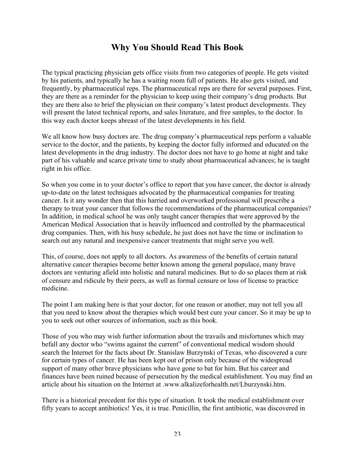# Why You Should Read This Book

The typical practicing physician gets office visits from two categories of people. He gets visited by his patients, and typically he has a waiting room full of patients. He also gets visited, and frequently, by pharmaceutical reps. The pharmaceutical reps are there for several purposes. First, they are there as a reminder for the physician to keep using their company's drug products. But they are there also to brief the physician on their company's latest product developments. They will present the latest technical reports, and sales literature, and free samples, to the doctor. In this way each doctor keeps abreast of the latest developments in his field.

We all know how busy doctors are. The drug company's pharmaceutical reps perform a valuable service to the doctor, and the patients, by keeping the doctor fully informed and educated on the latest developments in the drug industry. The doctor does not have to go home at night and take part of his valuable and scarce private time to study about pharmaceutical advances; he is taught right in his office.

So when you come in to your doctor's office to report that you have cancer, the doctor is already up-to-date on the latest techniques advocated by the pharmaceutical companies for treating cancer. Is it any wonder then that this harried and overworked professional will prescribe a therapy to treat your cancer that follows the recommendations of the pharmaceutical companies? In addition, in medical school he was only taught cancer therapies that were approved by the American Medical Association that is heavily influenced and controlled by the pharmaceutical drug companies. Then, with his busy schedule, he just does not have the time or inclination to search out any natural and inexpensive cancer treatments that might serve you well.

This, of course, does not apply to all doctors. As awareness of the benefits of certain natural alternative cancer therapies become better known among the general populace, many brave doctors are venturing afield into holistic and natural medicines. But to do so places them at risk of censure and ridicule by their peers, as well as formal censure or loss of license to practice medicine.

The point I am making here is that your doctor, for one reason or another, may not tell you all that you need to know about the therapies which would best cure your cancer. So it may be up to you to seek out other sources of information, such as this book.

Those of you who may wish further information about the travails and misfortunes which may befall any doctor who "swims against the current" of conventional medical wisdom should search the Internet for the facts about Dr. Stanislaw Burzynski of Texas, who discovered a cure for certain types of cancer. He has been kept out of prison only because of the widespread support of many other brave physicians who have gone to bat for him. But his career and finances have been ruined because of persecution by the medical establishment. You may find an article about his situation on the Internet at .www.alkalizeforhealth.net/Lburzynski.htm.

There is a historical precedent for this type of situation. It took the medical establishment over fifty years to accept antibiotics! Yes, it is true. Penicillin, the first antibiotic, was discovered in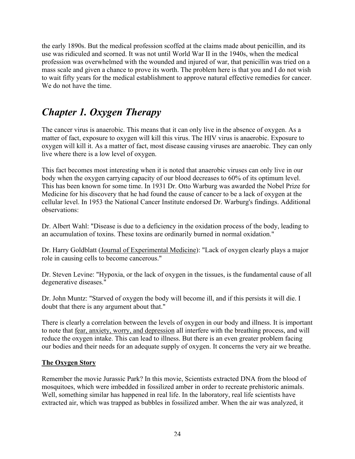the early 1890s. But the medical profession scoffed at the claims made about penicillin, and its use was ridiculed and scorned. It was not until World War II in the 1940s, when the medical profession was overwhelmed with the wounded and injured of war, that penicillin was tried on a mass scale and given a chance to prove its worth. The problem here is that you and I do not wish to wait fifty years for the medical establishment to approve natural effective remedies for cancer. We do not have the time.

# *Chapter 1. Oxygen Therapy*

The cancer virus is anaerobic. This means that it can only live in the absence of oxygen. As a matter of fact, exposure to oxygen will kill this virus. The HIV virus is anaerobic. Exposure to oxygen will kill it. As a matter of fact, most disease causing viruses are anaerobic. They can only live where there is a low level of oxygen.

This fact becomes most interesting when it is noted that anaerobic viruses can only live in our body when the oxygen carrying capacity of our blood decreases to 60% of its optimum level. This has been known for some time. In 1931 Dr. Otto Warburg was awarded the Nobel Prize for Medicine for his discovery that he had found the cause of cancer to be a lack of oxygen at the cellular level. In 1953 the National Cancer Institute endorsed Dr. Warburg's findings. Additional observations:

Dr. Albert Wahl: "Disease is due to a deficiency in the oxidation process of the body, leading to an accumulation of toxins. These toxins are ordinarily burned in normal oxidation."

Dr. Harry Goldblatt (Journal of Experimental Medicine): "Lack of oxygen clearly plays a major role in causing cells to become cancerous."

Dr. Steven Levine: "Hypoxia, or the lack of oxygen in the tissues, is the fundamental cause of all degenerative diseases."

Dr. John Muntz: "Starved of oxygen the body will become ill, and if this persists it will die. I doubt that there is any argument about that."

There is clearly a correlation between the levels of oxygen in our body and illness. It is important to note that fear, anxiety, worry, and depression all interfere with the breathing process, and will reduce the oxygen intake. This can lead to illness. But there is an even greater problem facing our bodies and their needs for an adequate supply of oxygen. It concerns the very air we breathe.

#### The Oxygen Story

Remember the movie Jurassic Park? In this movie, Scientists extracted DNA from the blood of mosquitoes, which were imbedded in fossilized amber in order to recreate prehistoric animals. Well, something similar has happened in real life. In the laboratory, real life scientists have extracted air, which was trapped as bubbles in fossilized amber. When the air was analyzed, it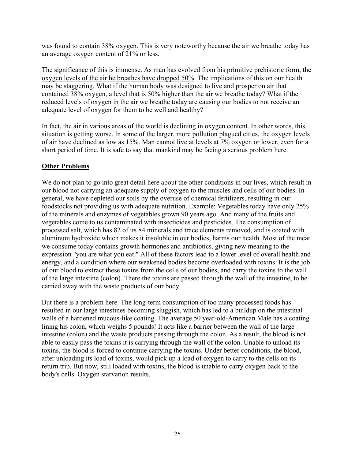was found to contain 38% oxygen. This is very noteworthy because the air we breathe today has an average oxygen content of 21% or less.

The significance of this is immense. As man has evolved from his primitive prehistoric form, the oxygen levels of the air he breathes have dropped 50%. The implications of this on our health may be staggering. What if the human body was designed to live and prosper on air that contained 38% oxygen, a level that is 50% higher than the air we breathe today? What if the reduced levels of oxygen in the air we breathe today are causing our bodies to not receive an adequate level of oxygen for them to be well and healthy?

In fact, the air in various areas of the world is declining in oxygen content. In other words, this situation is getting worse. In some of the larger, more pollution plagued cities, the oxygen levels of air have declined as low as 15%. Man cannot live at levels at 7% oxygen or lower, even for a short period of time. It is safe to say that mankind may be facing a serious problem here.

#### Other Problems

We do not plan to go into great detail here about the other conditions in our lives, which result in our blood not carrying an adequate supply of oxygen to the muscles and cells of our bodies. In general, we have depleted our soils by the overuse of chemical fertilizers, resulting in our foodstocks not providing us with adequate nutrition. Example: Vegetables today have only 25% of the minerals and enzymes of vegetables grown 90 years ago. And many of the fruits and vegetables come to us contaminated with insecticides and pesticides. The consumption of processed salt, which has 82 of its 84 minerals and trace elements removed, and is coated with aluminum hydroxide which makes it insoluble in our bodies, harms our health. Most of the meat we consume today contains growth hormones and antibiotics, giving new meaning to the expression "you are what you eat." All of these factors lead to a lower level of overall health and energy, and a condition where our weakened bodies become overloaded with toxins. It is the job of our blood to extract these toxins from the cells of our bodies, and carry the toxins to the wall of the large intestine (colon). There the toxins are passed through the wall of the intestine, to be carried away with the waste products of our body.

But there is a problem here. The long-term consumption of too many processed foods has resulted in our large intestines becoming sluggish, which has led to a buildup on the intestinal walls of a hardened mucous-like coating. The average 50 year-old-American Male has a coating lining his colon, which weighs 5 pounds! It acts like a barrier between the wall of the large intestine (colon) and the waste products passing through the colon. As a result, the blood is not able to easily pass the toxins it is carrying through the wall of the colon. Unable to unload its toxins, the blood is forced to continue carrying the toxins. Under better conditions, the blood, after unloading its load of toxins, would pick up a load of oxygen to carry to the cells on its return trip. But now, still loaded with toxins, the blood is unable to carry oxygen back to the body's cells. Oxygen starvation results.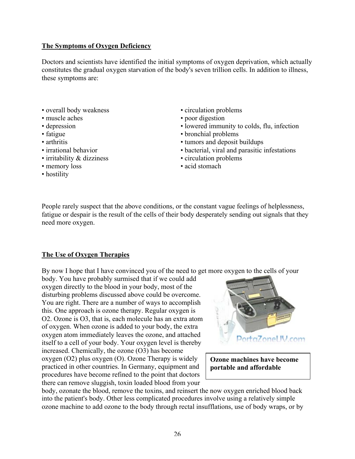#### The Symptoms of Oxygen Deficiency

Doctors and scientists have identified the initial symptoms of oxygen deprivation, which actually constitutes the gradual oxygen starvation of the body's seven trillion cells. In addition to illness, these symptoms are:

- overall body weakness circulation problems
- 
- 
- 
- 
- 
- irritability & dizziness circulation problems
- 
- hostility
- 
- muscle aches poor digestion
- depression lowered immunity to colds, flu, infection
- fatigue bronchial problems
- arthritis tumors and deposit buildups
- irrational behavior bacterial, viral and parasitic infestations
	-
- memory loss acid stomach

People rarely suspect that the above conditions, or the constant vague feelings of helplessness, fatigue or despair is the result of the cells of their body desperately sending out signals that they need more oxygen.

#### The Use of Oxygen Therapies

By now I hope that I have convinced you of the need to get more oxygen to the cells of your

body. You have probably surmised that if we could add oxygen directly to the blood in your body, most of the disturbing problems discussed above could be overcome. You are right. There are a number of ways to accomplish this. One approach is ozone therapy. Regular oxygen is O2. Ozone is O3, that is, each molecule has an extra atom of oxygen. When ozone is added to your body, the extra oxygen atom immediately leaves the ozone, and attached itself to a cell of your body. Your oxygen level is thereby increased. Chemically, the ozone (O3) has become oxygen (O2) plus oxygen (O). Ozone Therapy is widely practiced in other countries. In Germany, equipment and procedures have become refined to the point that doctors there can remove sluggish, toxin loaded blood from your



Ozone machines have become portable and affordable

body, ozonate the blood, remove the toxins, and reinsert the now oxygen enriched blood back into the patient's body. Other less complicated procedures involve using a relatively simple ozone machine to add ozone to the body through rectal insufflations, use of body wraps, or by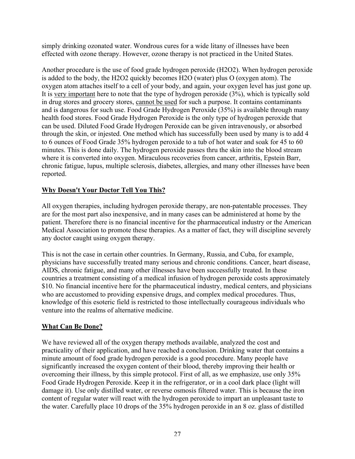simply drinking ozonated water. Wondrous cures for a wide litany of illnesses have been effected with ozone therapy. However, ozone therapy is not practiced in the United States.

Another procedure is the use of food grade hydrogen peroxide (H2O2). When hydrogen peroxide is added to the body, the H2O2 quickly becomes H2O (water) plus O (oxygen atom). The oxygen atom attaches itself to a cell of your body, and again, your oxygen level has just gone up. It is very important here to note that the type of hydrogen peroxide (3%), which is typically sold in drug stores and grocery stores, cannot be used for such a purpose. It contains contaminants and is dangerous for such use. Food Grade Hydrogen Peroxide (35%) is available through many health food stores. Food Grade Hydrogen Peroxide is the only type of hydrogen peroxide that can be used. Diluted Food Grade Hydrogen Peroxide can be given intravenously, or absorbed through the skin, or injested. One method which has successfully been used by many is to add 4 to 6 ounces of Food Grade 35% hydrogen peroxide to a tub of hot water and soak for 45 to 60 minutes. This is done daily. The hydrogen peroxide passes thru the skin into the blood stream where it is converted into oxygen. Miraculous recoveries from cancer, arthritis, Epstein Barr, chronic fatigue, lupus, multiple sclerosis, diabetes, allergies, and many other illnesses have been reported.

#### Why Doesn't Your Doctor Tell You This?

All oxygen therapies, including hydrogen peroxide therapy, are non-patentable processes. They are for the most part also inexpensive, and in many cases can be administered at home by the patient. Therefore there is no financial incentive for the pharmaceutical industry or the American Medical Association to promote these therapies. As a matter of fact, they will discipline severely any doctor caught using oxygen therapy.

This is not the case in certain other countries. In Germany, Russia, and Cuba, for example, physicians have successfully treated many serious and chronic conditions. Cancer, heart disease, AIDS, chronic fatigue, and many other illnesses have been successfully treated. In these countries a treatment consisting of a medical infusion of hydrogen peroxide costs approximately \$10. No financial incentive here for the pharmaceutical industry, medical centers, and physicians who are accustomed to providing expensive drugs, and complex medical procedures. Thus, knowledge of this esoteric field is restricted to those intellectually courageous individuals who venture into the realms of alternative medicine.

#### What Can Be Done?

We have reviewed all of the oxygen therapy methods available, analyzed the cost and practicality of their application, and have reached a conclusion. Drinking water that contains a minute amount of food grade hydrogen peroxide is a good procedure. Many people have significantly increased the oxygen content of their blood, thereby improving their health or overcoming their illness, by this simple protocol. First of all, as we emphasize, use only 35% Food Grade Hydrogen Peroxide. Keep it in the refrigerator, or in a cool dark place (light will damage it). Use only distilled water, or reverse osmosis filtered water. This is because the iron content of regular water will react with the hydrogen peroxide to impart an unpleasant taste to the water. Carefully place 10 drops of the 35% hydrogen peroxide in an 8 oz. glass of distilled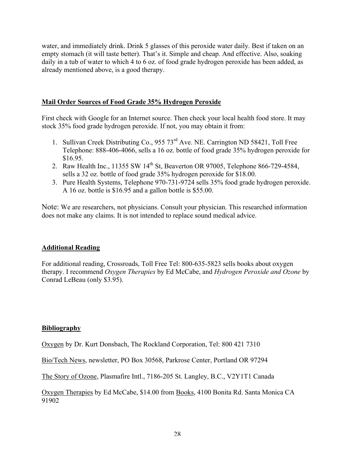water, and immediately drink. Drink 5 glasses of this peroxide water daily. Best if taken on an empty stomach (it will taste better). That's it. Simple and cheap. And effective. Also, soaking daily in a tub of water to which 4 to 6 oz. of food grade hydrogen peroxide has been added, as already mentioned above, is a good therapy.

#### Mail Order Sources of Food Grade 35% Hydrogen Peroxide

First check with Google for an Internet source. Then check your local health food store. It may stock 35% food grade hydrogen peroxide. If not, you may obtain it from:

- 1. Sullivan Creek Distributing Co., 955 73<sup>rd</sup> Ave. NE. Carrington ND 58421, Toll Free Telephone: 888-406-4066, sells a 16 oz. bottle of food grade 35% hydrogen peroxide for \$16.95.
- 2. Raw Health Inc., 11355 SW  $14<sup>th</sup>$  St, Beaverton OR 97005, Telephone 866-729-4584, sells a 32 oz. bottle of food grade 35% hydrogen peroxide for \$18.00.
- 3. Pure Health Systems, Telephone 970-731-9724 sells 35% food grade hydrogen peroxide. A 16 oz. bottle is \$16.95 and a gallon bottle is \$55.00.

Note: We are researchers, not physicians. Consult your physician. This researched information does not make any claims. It is not intended to replace sound medical advice.

#### Additional Reading

For additional reading, Crossroads, Toll Free Tel: 800-635-5823 sells books about oxygen therapy. I recommend *Oxygen Therapies* by Ed McCabe, and *Hydrogen Peroxide and Ozone* by Conrad LeBeau (only \$3.95).

#### **Bibliography**

Oxygen by Dr. Kurt Donsbach, The Rockland Corporation, Tel: 800 421 7310

Bio/Tech News, newsletter, PO Box 30568, Parkrose Center, Portland OR 97294

The Story of Ozone, Plasmafire Intl., 7186-205 St. Langley, B.C., V2Y1T1 Canada

Oxygen Therapies by Ed McCabe, \$14.00 from Books, 4100 Bonita Rd. Santa Monica CA 91902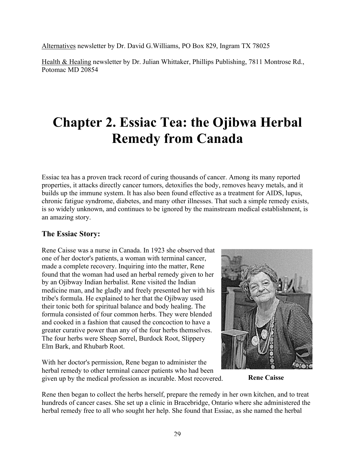Alternatives newsletter by Dr. David G.Williams, PO Box 829, Ingram TX 78025

Health & Healing newsletter by Dr. Julian Whittaker, Phillips Publishing, 7811 Montrose Rd., Potomac MD 20854

# Chapter 2. Essiac Tea: the Ojibwa Herbal Remedy from Canada

Essiac tea has a proven track record of curing thousands of cancer. Among its many reported properties, it attacks directly cancer tumors, detoxifies the body, removes heavy metals, and it builds up the immune system. It has also been found effective as a treatment for AIDS, lupus, chronic fatigue syndrome, diabetes, and many other illnesses. That such a simple remedy exists, is so widely unknown, and continues to be ignored by the mainstream medical establishment, is an amazing story.

### The Essiac Story:

Rene Caisse was a nurse in Canada. In 1923 she observed that one of her doctor's patients, a woman with terminal cancer, made a complete recovery. Inquiring into the matter, Rene found that the woman had used an herbal remedy given to her by an Ojibway Indian herbalist. Rene visited the Indian medicine man, and he gladly and freely presented her with his tribe's formula. He explained to her that the Ojibway used their tonic both for spiritual balance and body healing. The formula consisted of four common herbs. They were blended and cooked in a fashion that caused the concoction to have a greater curative power than any of the four herbs themselves. The four herbs were Sheep Sorrel, Burdock Root, Slippery Elm Bark, and Rhubarb Root.

With her doctor's permission, Rene began to administer the herbal remedy to other terminal cancer patients who had been given up by the medical profession as incurable. Most recovered.



Rene Caisse

Rene then began to collect the herbs herself, prepare the remedy in her own kitchen, and to treat hundreds of cancer cases. She set up a clinic in Bracebridge, Ontario where she administered the herbal remedy free to all who sought her help. She found that Essiac, as she named the herbal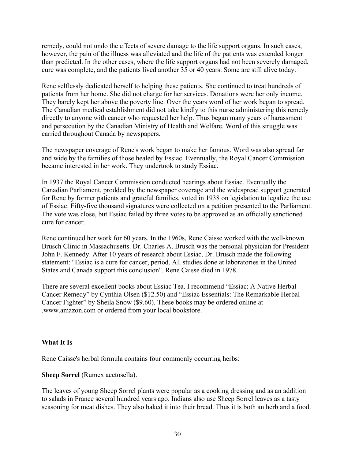remedy, could not undo the effects of severe damage to the life support organs. In such cases, however, the pain of the illness was alleviated and the life of the patients was extended longer than predicted. In the other cases, where the life support organs had not been severely damaged, cure was complete, and the patients lived another 35 or 40 years. Some are still alive today.

Rene selflessly dedicated herself to helping these patients. She continued to treat hundreds of patients from her home. She did not charge for her services. Donations were her only income. They barely kept her above the poverty line. Over the years word of her work began to spread. The Canadian medical establishment did not take kindly to this nurse administering this remedy directly to anyone with cancer who requested her help. Thus began many years of harassment and persecution by the Canadian Ministry of Health and Welfare. Word of this struggle was carried throughout Canada by newspapers.

The newspaper coverage of Rene's work began to make her famous. Word was also spread far and wide by the families of those healed by Essiac. Eventually, the Royal Cancer Commission became interested in her work. They undertook to study Essiac.

In 1937 the Royal Cancer Commission conducted hearings about Essiac. Eventually the Canadian Parliament, prodded by the newspaper coverage and the widespread support generated for Rene by former patients and grateful families, voted in 1938 on legislation to legalize the use of Essiac. Fifty-five thousand signatures were collected on a petition presented to the Parliament. The vote was close, but Essiac failed by three votes to be approved as an officially sanctioned cure for cancer.

Rene continued her work for 60 years. In the 1960s, Rene Caisse worked with the well-known Brusch Clinic in Massachusetts. Dr. Charles A. Brusch was the personal physician for President John F. Kennedy. After 10 years of research about Essiac, Dr. Brusch made the following statement: "Essiac is a cure for cancer, period. All studies done at laboratories in the United States and Canada support this conclusion". Rene Caisse died in 1978.

There are several excellent books about Essiac Tea. I recommend "Essiac: A Native Herbal Cancer Remedy" by Cynthia Olsen (\$12.50) and "Essiac Essentials: The Remarkable Herbal Cancer Fighter" by Sheila Snow (\$9.60). These books may be ordered online at .www.amazon.com or ordered from your local bookstore.

#### What It Is

Rene Caisse's herbal formula contains four commonly occurring herbs:

#### Sheep Sorrel (Rumex acetosella).

The leaves of young Sheep Sorrel plants were popular as a cooking dressing and as an addition to salads in France several hundred years ago. Indians also use Sheep Sorrel leaves as a tasty seasoning for meat dishes. They also baked it into their bread. Thus it is both an herb and a food.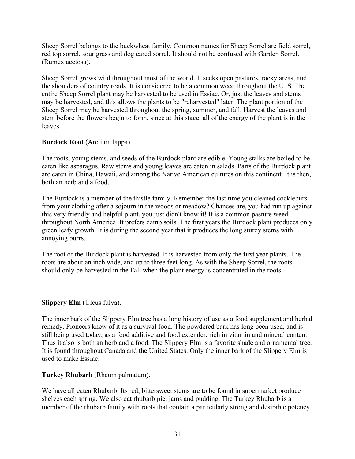Sheep Sorrel belongs to the buckwheat family. Common names for Sheep Sorrel are field sorrel, red top sorrel, sour grass and dog eared sorrel. It should not be confused with Garden Sorrel. (Rumex acetosa).

Sheep Sorrel grows wild throughout most of the world. It seeks open pastures, rocky areas, and the shoulders of country roads. It is considered to be a common weed throughout the U. S. The entire Sheep Sorrel plant may be harvested to be used in Essiac. Or, just the leaves and stems may be harvested, and this allows the plants to be "reharvested" later. The plant portion of the Sheep Sorrel may be harvested throughout the spring, summer, and fall. Harvest the leaves and stem before the flowers begin to form, since at this stage, all of the energy of the plant is in the leaves.

#### Burdock Root (Arctium lappa).

The roots, young stems, and seeds of the Burdock plant are edible. Young stalks are boiled to be eaten like asparagus. Raw stems and young leaves are eaten in salads. Parts of the Burdock plant are eaten in China, Hawaii, and among the Native American cultures on this continent. It is then, both an herb and a food.

The Burdock is a member of the thistle family. Remember the last time you cleaned cockleburs from your clothing after a sojourn in the woods or meadow? Chances are, you had run up against this very friendly and helpful plant, you just didn't know it! It is a common pasture weed throughout North America. It prefers damp soils. The first years the Burdock plant produces only green leafy growth. It is during the second year that it produces the long sturdy stems with annoying burrs.

The root of the Burdock plant is harvested. It is harvested from only the first year plants. The roots are about an inch wide, and up to three feet long. As with the Sheep Sorrel, the roots should only be harvested in the Fall when the plant energy is concentrated in the roots.

#### Slippery Elm (Ulcus fulva).

The inner bark of the Slippery Elm tree has a long history of use as a food supplement and herbal remedy. Pioneers knew of it as a survival food. The powdered bark has long been used, and is still being used today, as a food additive and food extender, rich in vitamin and mineral content. Thus it also is both an herb and a food. The Slippery Elm is a favorite shade and ornamental tree. It is found throughout Canada and the United States. Only the inner bark of the Slippery Elm is used to make Essiac.

#### Turkey Rhubarb (Rheum palmatum).

We have all eaten Rhubarb. Its red, bittersweet stems are to be found in supermarket produce shelves each spring. We also eat rhubarb pie, jams and pudding. The Turkey Rhubarb is a member of the rhubarb family with roots that contain a particularly strong and desirable potency.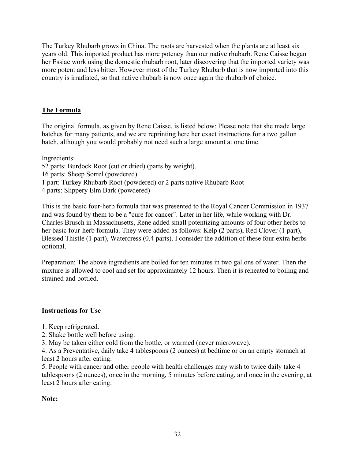The Turkey Rhubarb grows in China. The roots are harvested when the plants are at least six years old. This imported product has more potency than our native rhubarb. Rene Caisse began her Essiac work using the domestic rhubarb root, later discovering that the imported variety was more potent and less bitter. However most of the Turkey Rhubarb that is now imported into this country is irradiated, so that native rhubarb is now once again the rhubarb of choice.

#### The Formula

The original formula, as given by Rene Caisse, is listed below: Please note that she made large batches for many patients, and we are reprinting here her exact instructions for a two gallon batch, although you would probably not need such a large amount at one time.

Ingredients: 52 parts: Burdock Root (cut or dried) (parts by weight). 16 parts: Sheep Sorrel (powdered) 1 part: Turkey Rhubarb Root (powdered) or 2 parts native Rhubarb Root 4 parts: Slippery Elm Bark (powdered)

This is the basic four-herb formula that was presented to the Royal Cancer Commission in 1937 and was found by them to be a "cure for cancer". Later in her life, while working with Dr. Charles Brusch in Massachusetts, Rene added small potentizing amounts of four other herbs to her basic four-herb formula. They were added as follows: Kelp (2 parts), Red Clover (1 part), Blessed Thistle (1 part), Watercress (0.4 parts). I consider the addition of these four extra herbs optional.

Preparation: The above ingredients are boiled for ten minutes in two gallons of water. Then the mixture is allowed to cool and set for approximately 12 hours. Then it is reheated to boiling and strained and bottled.

#### Instructions for Use

- 1. Keep refrigerated.
- 2. Shake bottle well before using.
- 3. May be taken either cold from the bottle, or warmed (never microwave).

4. As a Preventative, daily take 4 tablespoons (2 ounces) at bedtime or on an empty stomach at least 2 hours after eating.

5. People with cancer and other people with health challenges may wish to twice daily take 4 tablespoons (2 ounces), once in the morning, 5 minutes before eating, and once in the evening, at least 2 hours after eating.

#### Note: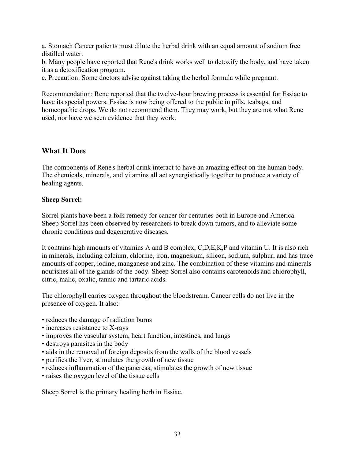a. Stomach Cancer patients must dilute the herbal drink with an equal amount of sodium free distilled water.

b. Many people have reported that Rene's drink works well to detoxify the body, and have taken it as a detoxification program.

c. Precaution: Some doctors advise against taking the herbal formula while pregnant.

Recommendation: Rene reported that the twelve-hour brewing process is essential for Essiac to have its special powers. Essiac is now being offered to the public in pills, teabags, and homeopathic drops. We do not recommend them. They may work, but they are not what Rene used, nor have we seen evidence that they work.

#### What It Does

The components of Rene's herbal drink interact to have an amazing effect on the human body. The chemicals, minerals, and vitamins all act synergistically together to produce a variety of healing agents.

#### Sheep Sorrel:

Sorrel plants have been a folk remedy for cancer for centuries both in Europe and America. Sheep Sorrel has been observed by researchers to break down tumors, and to alleviate some chronic conditions and degenerative diseases.

It contains high amounts of vitamins A and B complex, C,D,E,K,P and vitamin U. It is also rich in minerals, including calcium, chlorine, iron, magnesium, silicon, sodium, sulphur, and has trace amounts of copper, iodine, manganese and zinc. The combination of these vitamins and minerals nourishes all of the glands of the body. Sheep Sorrel also contains carotenoids and chlorophyll, citric, malic, oxalic, tannic and tartaric acids.

The chlorophyll carries oxygen throughout the bloodstream. Cancer cells do not live in the presence of oxygen. It also:

- reduces the damage of radiation burns
- increases resistance to X-rays
- improves the vascular system, heart function, intestines, and lungs
- destroys parasites in the body
- aids in the removal of foreign deposits from the walls of the blood vessels
- purifies the liver, stimulates the growth of new tissue
- reduces inflammation of the pancreas, stimulates the growth of new tissue
- raises the oxygen level of the tissue cells

Sheep Sorrel is the primary healing herb in Essiac.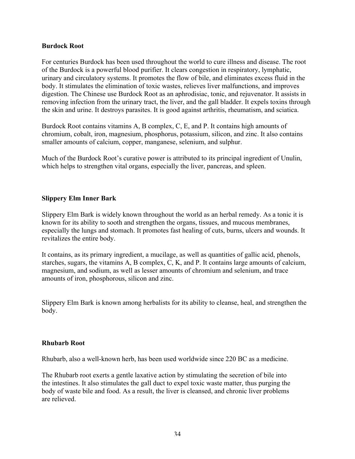#### Burdock Root

For centuries Burdock has been used throughout the world to cure illness and disease. The root of the Burdock is a powerful blood purifier. It clears congestion in respiratory, lymphatic, urinary and circulatory systems. It promotes the flow of bile, and eliminates excess fluid in the body. It stimulates the elimination of toxic wastes, relieves liver malfunctions, and improves digestion. The Chinese use Burdock Root as an aphrodisiac, tonic, and rejuvenator. It assists in removing infection from the urinary tract, the liver, and the gall bladder. It expels toxins through the skin and urine. It destroys parasites. It is good against arthritis, rheumatism, and sciatica.

Burdock Root contains vitamins A, B complex, C, E, and P. It contains high amounts of chromium, cobalt, iron, magnesium, phosphorus, potassium, silicon, and zinc. It also contains smaller amounts of calcium, copper, manganese, selenium, and sulphur.

Much of the Burdock Root's curative power is attributed to its principal ingredient of Unulin, which helps to strengthen vital organs, especially the liver, pancreas, and spleen.

#### Slippery Elm Inner Bark

Slippery Elm Bark is widely known throughout the world as an herbal remedy. As a tonic it is known for its ability to sooth and strengthen the organs, tissues, and mucous membranes, especially the lungs and stomach. It promotes fast healing of cuts, burns, ulcers and wounds. It revitalizes the entire body.

It contains, as its primary ingredient, a mucilage, as well as quantities of gallic acid, phenols, starches, sugars, the vitamins A, B complex, C, K, and P. It contains large amounts of calcium, magnesium, and sodium, as well as lesser amounts of chromium and selenium, and trace amounts of iron, phosphorous, silicon and zinc.

Slippery Elm Bark is known among herbalists for its ability to cleanse, heal, and strengthen the body.

#### Rhubarb Root

Rhubarb, also a well-known herb, has been used worldwide since 220 BC as a medicine.

The Rhubarb root exerts a gentle laxative action by stimulating the secretion of bile into the intestines. It also stimulates the gall duct to expel toxic waste matter, thus purging the body of waste bile and food. As a result, the liver is cleansed, and chronic liver problems are relieved.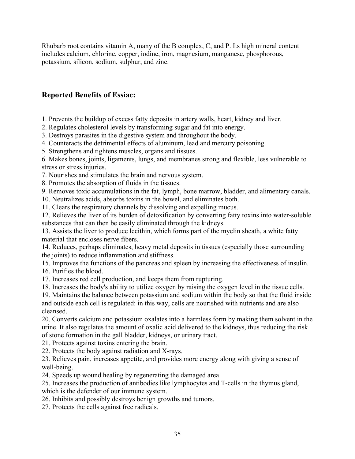Rhubarb root contains vitamin A, many of the B complex, C, and P. Its high mineral content includes calcium, chlorine, copper, iodine, iron, magnesium, manganese, phosphorous, potassium, silicon, sodium, sulphur, and zinc.

## Reported Benefits of Essiac:

1. Prevents the buildup of excess fatty deposits in artery walls, heart, kidney and liver.

2. Regulates cholesterol levels by transforming sugar and fat into energy.

3. Destroys parasites in the digestive system and throughout the body.

4. Counteracts the detrimental effects of aluminum, lead and mercury poisoning.

5. Strengthens and tightens muscles, organs and tissues.

6. Makes bones, joints, ligaments, lungs, and membranes strong and flexible, less vulnerable to stress or stress injuries.

7. Nourishes and stimulates the brain and nervous system.

8. Promotes the absorption of fluids in the tissues.

9. Removes toxic accumulations in the fat, lymph, bone marrow, bladder, and alimentary canals. 10. Neutralizes acids, absorbs toxins in the bowel, and eliminates both.

11. Clears the respiratory channels by dissolving and expelling mucus.

12. Relieves the liver of its burden of detoxification by converting fatty toxins into water-soluble substances that can then be easily eliminated through the kidneys.

13. Assists the liver to produce lecithin, which forms part of the myelin sheath, a white fatty material that encloses nerve fibers.

14. Reduces, perhaps eliminates, heavy metal deposits in tissues (especially those surrounding the joints) to reduce inflammation and stiffness.

15. Improves the functions of the pancreas and spleen by increasing the effectiveness of insulin.

16. Purifies the blood.

17. Increases red cell production, and keeps them from rupturing.

18. Increases the body's ability to utilize oxygen by raising the oxygen level in the tissue cells.

19. Maintains the balance between potassium and sodium within the body so that the fluid inside and outside each cell is regulated: in this way, cells are nourished with nutrients and are also cleansed.

20. Converts calcium and potassium oxalates into a harmless form by making them solvent in the urine. It also regulates the amount of oxalic acid delivered to the kidneys, thus reducing the risk of stone formation in the gall bladder, kidneys, or urinary tract.

21. Protects against toxins entering the brain.

22. Protects the body against radiation and X-rays.

23. Relieves pain, increases appetite, and provides more energy along with giving a sense of well-being.

24. Speeds up wound healing by regenerating the damaged area.

25. Increases the production of antibodies like lymphocytes and T-cells in the thymus gland, which is the defender of our immune system.

26. Inhibits and possibly destroys benign growths and tumors.

27. Protects the cells against free radicals.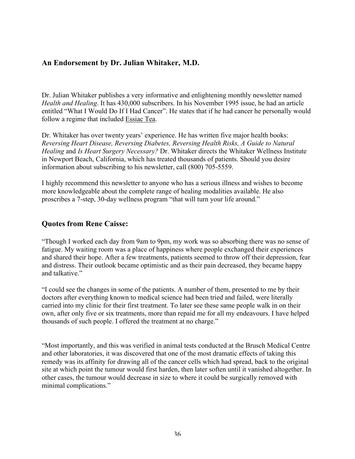#### An Endorsement by Dr. Julian Whitaker, M.D.

Dr. Julian Whitaker publishes a very informative and enlightening monthly newsletter named *Health and Healing*. It has 430,000 subscribers. In his November 1995 issue, he had an article entitled "What I Would Do If I Had Cancer". He states that if he had cancer he personally would follow a regime that included Essiac Tea.

Dr. Whitaker has over twenty years' experience. He has written five major health books: *Reversing Heart Disease, Reversing Diabetes, Reversing Health Risks, A Guide to Natural Healing* and *Is Heart Surgery Necessary?* Dr. Whitaker directs the Whitaker Wellness Institute in Newport Beach, California, which has treated thousands of patients. Should you desire information about subscribing to his newsletter, call (800) 705-5559.

I highly recommend this newsletter to anyone who has a serious illness and wishes to become more knowledgeable about the complete range of healing modalities available. He also proscribes a 7-step, 30-day wellness program "that will turn your life around."

#### Quotes from Rene Caisse:

"Though I worked each day from 9am to 9pm, my work was so absorbing there was no sense of fatigue. My waiting room was a place of happiness where people exchanged their experiences and shared their hope. After a few treatments, patients seemed to throw off their depression, fear and distress. Their outlook became optimistic and as their pain decreased, they became happy and talkative."

"I could see the changes in some of the patients. A number of them, presented to me by their doctors after everything known to medical science had been tried and failed, were literally carried into my clinic for their first treatment. To later see these same people walk in on their own, after only five or six treatments, more than repaid me for all my endeavours. I have helped thousands of such people. I offered the treatment at no charge."

"Most importantly, and this was verified in animal tests conducted at the Brusch Medical Centre and other laboratories, it was discovered that one of the most dramatic effects of taking this remedy was its affinity for drawing all of the cancer cells which had spread, back to the original site at which point the tumour would first harden, then later soften until it vanished altogether. In other cases, the tumour would decrease in size to where it could be surgically removed with minimal complications."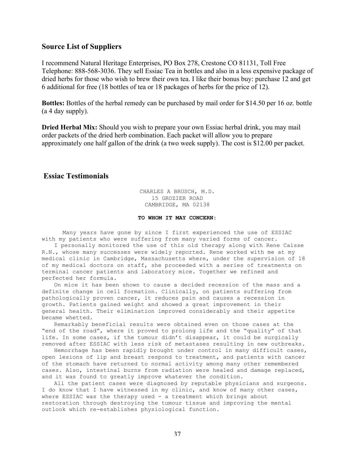#### Source List of Suppliers

I recommend Natural Heritage Enterprises, PO Box 278, Crestone CO 81131, Toll Free Telephone: 888-568-3036. They sell Essiac Tea in bottles and also in a less expensive package of dried herbs for those who wish to brew their own tea. I like their bonus buy: purchase 12 and get 6 additional for free (18 bottles of tea or 18 packages of herbs for the price of 12).

Bottles: Bottles of the herbal remedy can be purchased by mail order for \$14.50 per 16 oz. bottle (a 4 day supply).

Dried Herbal Mix: Should you wish to prepare your own Essiac herbal drink, you may mail order packets of the dried herb combination. Each packet will allow you to prepare approximately one half gallon of the drink (a two week supply). The cost is \$12.00 per packet.

#### Essiac Testimonials

CHARLES A BRUSCH, M.D. 15 GROZIER ROAD CAMBRIDGE, MA 02138

#### **TO WHOM IT MAY CONCERN:**

Many years have gone by since I first experienced the use of ESSIAC with my patients who were suffering from many varied forms of cancer.

I personally monitored the use of this old therapy along with Rene Caisse R.N., whose many successes were widely reported. Rene worked with me at my medical clinic in Cambridge, Massachusetts where, under the supervision of 18 of my medical doctors on staff, she proceeded with a series of treatments on terminal cancer patients and laboratory mice. Together we refined and perfected her formula.

On mice it has been shown to cause a decided recession of the mass and a definite change in cell formation. Clinically, on patients suffering from pathologically proven cancer, it reduces pain and causes a recession in growth. Patients gained weight and showed a great improvement in their general health. Their elimination improved considerably and their appetite became whetted.

Remarkably beneficial results were obtained even on those cases at the "end of the road", where it proved to prolong life and the "quality" of that life. In some cases, if the tumour didn't disappear, it could be surgically removed after ESSIAC with less risk of metastases resulting in new outbreaks.

Hemorrhage has been rapidly brought under control in many difficult cases, open lesions of lip and breast respond to treatment, and patients with cancer of the stomach have returned to normal activity among many other remembered cases. Also, intestinal burns from radiation were healed and damage replaced, and it was found to greatly improve whatever the condition.

All the patient cases were diagnosed by reputable physicians and surgeons. I do know that I have witnessed in my clinic, and know of many other cases, where ESSIAC was the therapy used - a treatment which brings about restoration through destroying the tumour tissue and improving the mental outlook which re-establishes physiological function.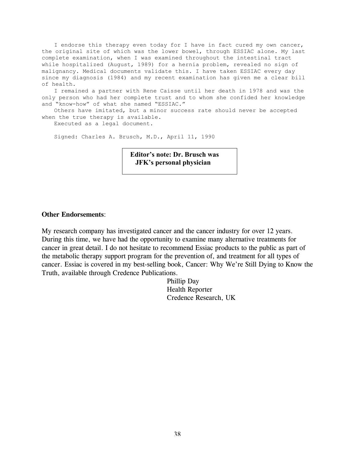I endorse this therapy even today for I have in fact cured my own cancer, the original site of which was the lower bowel, through ESSIAC alone. My last complete examination, when I was examined throughout the intestinal tract while hospitalized (August, 1989) for a hernia problem, revealed no sign of malignancy. Medical documents validate this. I have taken ESSIAC every day since my diagnosis (1984) and my recent examination has given me a clear bill of health.

I remained a partner with Rene Caisse until her death in 1978 and was the only person who had her complete trust and to whom she confided her knowledge and "know-how" of what she named "ESSIAC."

Others have imitated, but a minor success rate should never be accepted when the true therapy is available.

Executed as a legal document.

Signed: Charles A. Brusch, M.D., April 11, 1990

 Editor's note: Dr. Brusch was JFK's personal physician

#### **Other Endorsements**:

My research company has investigated cancer and the cancer industry for over 12 years. During this time, we have had the opportunity to examine many alternative treatments for cancer in great detail. I do not hesitate to recommend Essiac products to the public as part of the metabolic therapy support program for the prevention of, and treatment for all types of cancer. Essiac is covered in my best-selling book, Cancer: Why We're Still Dying to Know the Truth, available through Credence Publications.

> Phillip Day Health Reporter Credence Research, UK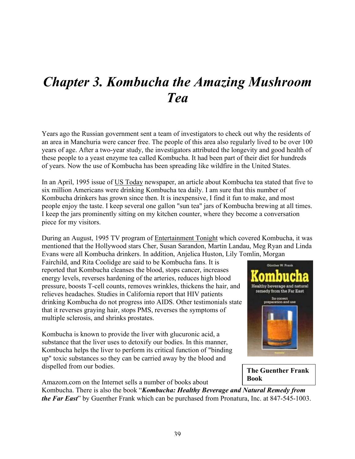# *Chapter 3. Kombucha the Amazing Mushroom Tea*

Years ago the Russian government sent a team of investigators to check out why the residents of an area in Manchuria were cancer free. The people of this area also regularly lived to be over 100 years of age. After a two-year study, the investigators attributed the longevity and good health of these people to a yeast enzyme tea called Kombucha. It had been part of their diet for hundreds of years. Now the use of Kombucha has been spreading like wildfire in the United States.

In an April, 1995 issue of US Today newspaper, an article about Kombucha tea stated that five to six million Americans were drinking Kombucha tea daily. I am sure that this number of Kombucha drinkers has grown since then. It is inexpensive, I find it fun to make, and most people enjoy the taste. I keep several one gallon "sun tea" jars of Kombucha brewing at all times. I keep the jars prominently sitting on my kitchen counter, where they become a conversation piece for my visitors.

During an August, 1995 TV program of Entertainment Tonight which covered Kombucha, it was mentioned that the Hollywood stars Cher, Susan Sarandon, Martin Landau, Meg Ryan and Linda Evans were all Kombucha drinkers. In addition, Anjelica Huston, Lily Tomlin, Morgan

Fairchild, and Rita Coolidge are said to be Kombucha fans. It is reported that Kombucha cleanses the blood, stops cancer, increases energy levels, reverses hardening of the arteries, reduces high blood pressure, boosts T-cell counts, removes wrinkles, thickens the hair, and relieves headaches. Studies in California report that HIV patients drinking Kombucha do not progress into AIDS. Other testimonials state that it reverses graying hair, stops PMS, reverses the symptoms of multiple sclerosis, and shrinks prostates.

Kombucha is known to provide the liver with glucuronic acid, a substance that the liver uses to detoxify our bodies. In this manner, Kombucha helps the liver to perform its critical function of "binding up" toxic substances so they can be carried away by the blood and dispelled from our bodies.

Amazom.com on the Internet sells a number of books about Kombucha. There is also the book "*Kombucha: Healthy Beverage and Natural Remedy from the Far East*" by Guenther Frank which can be purchased from Pronatura, Inc. at 847-545-1003.



The Guenther Frank Book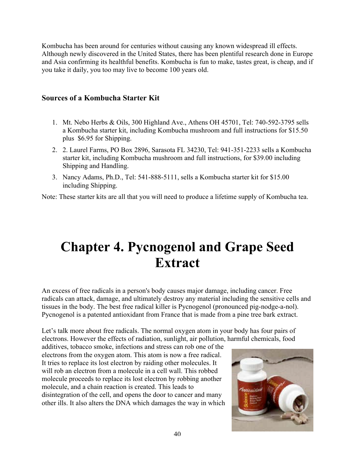Kombucha has been around for centuries without causing any known widespread ill effects. Although newly discovered in the United States, there has been plentiful research done in Europe and Asia confirming its healthful benefits. Kombucha is fun to make, tastes great, is cheap, and if you take it daily, you too may live to become 100 years old.

### Sources of a Kombucha Starter Kit

- 1. Mt. Nebo Herbs & Oils, 300 Highland Ave., Athens OH 45701, Tel: 740-592-3795 sells a Kombucha starter kit, including Kombucha mushroom and full instructions for \$15.50 plus \$6.95 for Shipping.
- 2. 2. Laurel Farms, PO Box 2896, Sarasota FL 34230, Tel: 941-351-2233 sells a Kombucha starter kit, including Kombucha mushroom and full instructions, for \$39.00 including Shipping and Handling.
- 3. Nancy Adams, Ph.D., Tel: 541-888-5111, sells a Kombucha starter kit for \$15.00 including Shipping.

Note: These starter kits are all that you will need to produce a lifetime supply of Kombucha tea.

# Chapter 4. Pycnogenol and Grape Seed Extract

An excess of free radicals in a person's body causes major damage, including cancer. Free radicals can attack, damage, and ultimately destroy any material including the sensitive cells and tissues in the body. The best free radical killer is Pycnogenol (pronounced pig-nodge-a-nol). Pycnogenol is a patented antioxidant from France that is made from a pine tree bark extract.

Let's talk more about free radicals. The normal oxygen atom in your body has four pairs of electrons. However the effects of radiation, sunlight, air pollution, harmful chemicals, food

additives, tobacco smoke, infections and stress can rob one of the electrons from the oxygen atom. This atom is now a free radical. It tries to replace its lost electron by raiding other molecules. It will rob an electron from a molecule in a cell wall. This robbed molecule proceeds to replace its lost electron by robbing another molecule, and a chain reaction is created. This leads to disintegration of the cell, and opens the door to cancer and many other ills. It also alters the DNA which damages the way in which

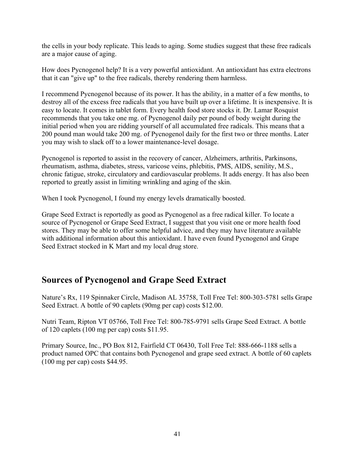the cells in your body replicate. This leads to aging. Some studies suggest that these free radicals are a major cause of aging.

How does Pycnogenol help? It is a very powerful antioxidant. An antioxidant has extra electrons that it can "give up" to the free radicals, thereby rendering them harmless.

I recommend Pycnogenol because of its power. It has the ability, in a matter of a few months, to destroy all of the excess free radicals that you have built up over a lifetime. It is inexpensive. It is easy to locate. It comes in tablet form. Every health food store stocks it. Dr. Lamar Rosquist recommends that you take one mg. of Pycnogenol daily per pound of body weight during the initial period when you are ridding yourself of all accumulated free radicals. This means that a 200 pound man would take 200 mg. of Pycnogenol daily for the first two or three months. Later you may wish to slack off to a lower maintenance-level dosage.

Pycnogenol is reported to assist in the recovery of cancer, Alzheimers, arthritis, Parkinsons, rheumatism, asthma, diabetes, stress, varicose veins, phlebitis, PMS, AIDS, senility, M.S., chronic fatigue, stroke, circulatory and cardiovascular problems. It adds energy. It has also been reported to greatly assist in limiting wrinkling and aging of the skin.

When I took Pycnogenol, I found my energy levels dramatically boosted.

Grape Seed Extract is reportedly as good as Pycnogenol as a free radical killer. To locate a source of Pycnogenol or Grape Seed Extract, I suggest that you visit one or more health food stores. They may be able to offer some helpful advice, and they may have literature available with additional information about this antioxidant. I have even found Pycnogenol and Grape Seed Extract stocked in K Mart and my local drug store.

# Sources of Pycnogenol and Grape Seed Extract

Nature's Rx, 119 Spinnaker Circle, Madison AL 35758, Toll Free Tel: 800-303-5781 sells Grape Seed Extract. A bottle of 90 caplets (90mg per cap) costs \$12.00.

Nutri Team, Ripton VT 05766, Toll Free Tel: 800-785-9791 sells Grape Seed Extract. A bottle of 120 caplets (100 mg per cap) costs \$11.95.

Primary Source, Inc., PO Box 812, Fairfield CT 06430, Toll Free Tel: 888-666-1188 sells a product named OPC that contains both Pycnogenol and grape seed extract. A bottle of 60 caplets (100 mg per cap) costs \$44.95.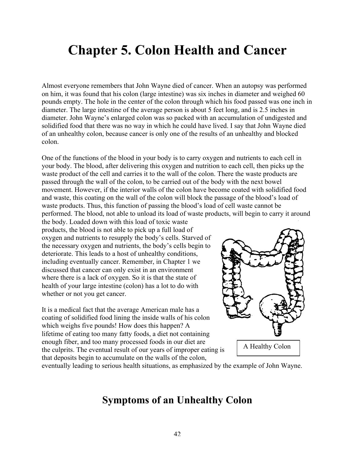# Chapter 5. Colon Health and Cancer

Almost everyone remembers that John Wayne died of cancer. When an autopsy was performed on him, it was found that his colon (large intestine) was six inches in diameter and weighed 60 pounds empty. The hole in the center of the colon through which his food passed was one inch in diameter. The large intestine of the average person is about 5 feet long, and is 2.5 inches in diameter. John Wayne's enlarged colon was so packed with an accumulation of undigested and solidified food that there was no way in which he could have lived. I say that John Wayne died of an unhealthy colon, because cancer is only one of the results of an unhealthy and blocked colon.

One of the functions of the blood in your body is to carry oxygen and nutrients to each cell in your body. The blood, after delivering this oxygen and nutrition to each cell, then picks up the waste product of the cell and carries it to the wall of the colon. There the waste products are passed through the wall of the colon, to be carried out of the body with the next bowel movement. However, if the interior walls of the colon have become coated with solidified food and waste, this coating on the wall of the colon will block the passage of the blood's load of waste products. Thus, this function of passing the blood's load of cell waste cannot be performed. The blood, not able to unload its load of waste products, will begin to carry it around

the body. Loaded down with this load of toxic waste products, the blood is not able to pick up a full load of oxygen and nutrients to resupply the body's cells. Starved of the necessary oxygen and nutrients, the body's cells begin to deteriorate. This leads to a host of unhealthy conditions, including eventually cancer. Remember, in Chapter 1 we discussed that cancer can only exist in an environment where there is a lack of oxygen. So it is that the state of health of your large intestine (colon) has a lot to do with whether or not you get cancer.

It is a medical fact that the average American male has a coating of solidified food lining the inside walls of his colon which weighs five pounds! How does this happen? A lifetime of eating too many fatty foods, a diet not containing enough fiber, and too many processed foods in our diet are the culprits. The eventual result of our years of improper eating is that deposits begin to accumulate on the walls of the colon,



eventually leading to serious health situations, as emphasized by the example of John Wayne.

# Symptoms of an Unhealthy Colon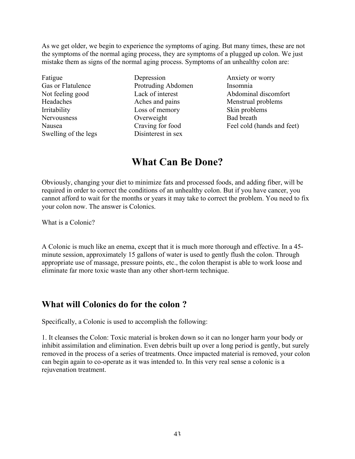As we get older, we begin to experience the symptoms of aging. But many times, these are not the symptoms of the normal aging process, they are symptoms of a plugged up colon. We just mistake them as signs of the normal aging process. Symptoms of an unhealthy colon are:

Swelling of the legs Disinterest in sex

Fatigue Depression Anxiety or worry Gas or Flatulence Protruding Abdomen Insomnia Irritability Loss of memory Skin problems Nervousness Overweight Bad breath

Not feeling good Lack of interest Abdominal discomfort Headaches Aches and pains Menstrual problems Nausea Craving for food Feel cold (hands and feet)

# What Can Be Done?

Obviously, changing your diet to minimize fats and processed foods, and adding fiber, will be required in order to correct the conditions of an unhealthy colon. But if you have cancer, you cannot afford to wait for the months or years it may take to correct the problem. You need to fix your colon now. The answer is Colonics.

What is a Colonic?

A Colonic is much like an enema, except that it is much more thorough and effective. In a 45 minute session, approximately 15 gallons of water is used to gently flush the colon. Through appropriate use of massage, pressure points, etc., the colon therapist is able to work loose and eliminate far more toxic waste than any other short-term technique.

# What will Colonics do for the colon ?

Specifically, a Colonic is used to accomplish the following:

1. It cleanses the Colon: Toxic material is broken down so it can no longer harm your body or inhibit assimilation and elimination. Even debris built up over a long period is gently, but surely removed in the process of a series of treatments. Once impacted material is removed, your colon can begin again to co-operate as it was intended to. In this very real sense a colonic is a rejuvenation treatment.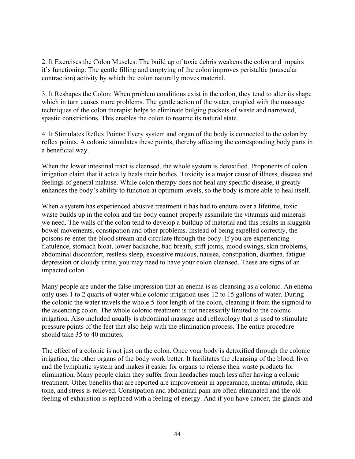2. It Exercises the Colon Muscles: The build up of toxic debris weakens the colon and impairs it's functioning. The gentle filling and emptying of the colon improves peristaltic (muscular contraction) activity by which the colon naturally moves material.

3. It Reshapes the Colon: When problem conditions exist in the colon, they tend to alter its shape which in turn causes more problems. The gentle action of the water, coupled with the massage techniques of the colon therapist helps to eliminate bulging pockets of waste and narrowed, spastic constrictions. This enables the colon to resume its natural state.

4. It Stimulates Reflex Points: Every system and organ of the body is connected to the colon by reflex points. A colonic stimulates these points, thereby affecting the corresponding body parts in a beneficial way.

When the lower intestinal tract is cleansed, the whole system is detoxified. Proponents of colon irrigation claim that it actually heals their bodies. Toxicity is a major cause of illness, disease and feelings of general malaise. While colon therapy does not heal any specific disease, it greatly enhances the body's ability to function at optimum levels, so the body is more able to heal itself.

When a system has experienced abusive treatment it has had to endure over a lifetime, toxic waste builds up in the colon and the body cannot properly assimilate the vitamins and minerals we need. The walls of the colon tend to develop a buildup of material and this results in sluggish bowel movements, constipation and other problems. Instead of being expelled correctly, the poisons re-enter the blood stream and circulate through the body. If you are experiencing flatulence, stomach bloat, lower backache, bad breath, stiff joints, mood swings, skin problems, abdominal discomfort, restless sleep, excessive mucous, nausea, constipation, diarrhea, fatigue depression or cloudy urine, you may need to have your colon cleansed. These are signs of an impacted colon.

Many people are under the false impression that an enema is as cleansing as a colonic. An enema only uses 1 to 2 quarts of water while colonic irrigation uses 12 to 15 gallons of water. During the colonic the water travels the whole 5-foot length of the colon, cleaning it from the sigmoid to the ascending colon. The whole colonic treatment is not necessarily limited to the colonic irrigation. Also included usually is abdominal massage and reflexology that is used to stimulate pressure points of the feet that also help with the elimination process. The entire procedure should take 35 to 40 minutes.

The effect of a colonic is not just on the colon. Once your body is detoxified through the colonic irrigation, the other organs of the body work better. It facilitates the cleansing of the blood, liver and the lymphatic system and makes it easier for organs to release their waste products for elimination. Many people claim they suffer from headaches much less after having a colonic treatment. Other benefits that are reported are improvement in appearance, mental attitude, skin tone, and stress is relieved. Constipation and abdominal pain are often eliminated and the old feeling of exhaustion is replaced with a feeling of energy. And if you have cancer, the glands and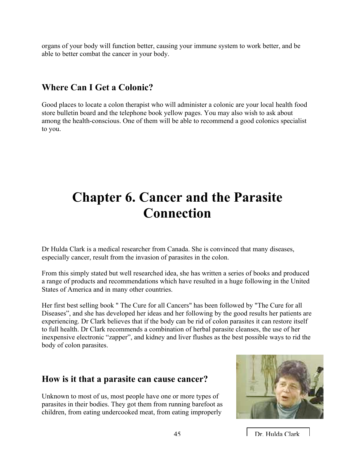organs of your body will function better, causing your immune system to work better, and be able to better combat the cancer in your body.

# Where Can I Get a Colonic?

Good places to locate a colon therapist who will administer a colonic are your local health food store bulletin board and the telephone book yellow pages. You may also wish to ask about among the health-conscious. One of them will be able to recommend a good colonics specialist to you.

# Chapter 6. Cancer and the Parasite Connection

Dr Hulda Clark is a medical researcher from Canada. She is convinced that many diseases, especially cancer, result from the invasion of parasites in the colon.

From this simply stated but well researched idea, she has written a series of books and produced a range of products and recommendations which have resulted in a huge following in the United States of America and in many other countries.

Her first best selling book " The Cure for all Cancers" has been followed by "The Cure for all Diseases", and she has developed her ideas and her following by the good results her patients are experiencing. Dr Clark believes that if the body can be rid of colon parasites it can restore itself to full health. Dr Clark recommends a combination of herbal parasite cleanses, the use of her inexpensive electronic "zapper", and kidney and liver flushes as the best possible ways to rid the body of colon parasites.

# How is it that a parasite can cause cancer?

Unknown to most of us, most people have one or more types of parasites in their bodies. They got them from running barefoot as children, from eating undercooked meat, from eating improperly



Dr. Hulda Clark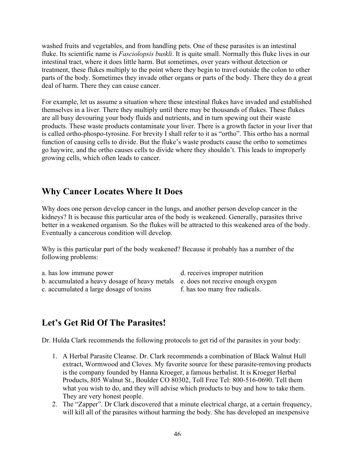washed fruits and vegetables, and from handling pets. One of these parasites is an intestinal fluke. Its scientific name is *Fasciolopsis buskli*. It is quite small. Normally this fluke lives in our intestinal tract, where it does little harm. But sometimes, over years without detection or treatment, these flukes multiply to the point where they begin to travel outside the colon to other parts of the body. Sometimes they invade other organs or parts of the body. There they do a great deal of harm. There they can cause cancer.

For example, let us assume a situation where these intestinal flukes have invaded and established themselves in a liver. There they multiply until there may be thousands of flukes. These flukes are all busy devouring your body fluids and nutrients, and in turn spewing out their waste products. These waste products contaminate your liver. There is a growth factor in your liver that is called ortho-phospo-tyrosine. For brevity I shall refer to it as "ortho". This ortho has a normal function of causing cells to divide. But the fluke's waste products cause the ortho to sometimes go haywire, and the ortho causes cells to divide where they shouldn't. This leads to improperly growing cells, which often leads to cancer.

# Why Cancer Locates Where It Does

Why does one person develop cancer in the lungs, and another person develop cancer in the kidneys? It is because this particular area of the body is weakened. Generally, parasites thrive better in a weakened organism. So the flukes will be attracted to this weakened area of the body. Eventually a cancerous condition will develop.

Why is this particular part of the body weakened? Because it probably has a number of the following problems:

- a. has low immune power d. receives improper nutrition
- b. accumulated a heavy dosage of heavy metals e. does not receive enough oxygen
- c. accumulated a large dosage of toxins f. has too many free radicals.
- 
- -

# Let's Get Rid Of The Parasites!

Dr. Hulda Clark recommends the following protocols to get rid of the parasites in your body:

- 1. A Herbal Parasite Cleanse. Dr. Clark recommends a combination of Black Walnut Hull extract, Wormwood and Cloves. My favorite source for these parasite-removing products is the company founded by Hanna Kroeger, a famous herbalist. It is Kroeger Herbal Products, 805 Walnut St., Boulder CO 80302, Toll Free Tel: 800-516-0690. Tell them what you wish to do, and they will advise which products to buy and how to take them. They are very honest people.
- 2. The "Zapper". Dr Clark discovered that a minute electrical charge, at a certain frequency, will kill all of the parasites without harming the body. She has developed an inexpensive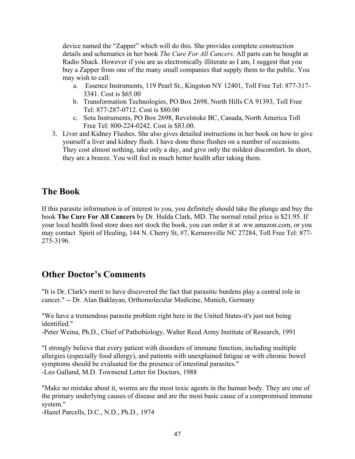device named the "Zapper" which will do this. She provides complete construction details and schematics in her book *The Cure For All Cancers*. All parts can be bought at Radio Shack. However if you are as electronically illiterate as I am, I suggest that you buy a Zapper from one of the many small companies that supply them to the public. You may wish to call:

- a. Essence Instruments, 119 Pearl St., Kingston NY 12401, Toll Free Tel: 877-317- 3341. Cost is \$65.00
- b. Transformation Technologies, PO Box 2698, North Hills CA 91393, Toll Free Tel: 877-287-0712. Cost is \$80.00
- c. Sota Instruments, PO Box 2698, Revelstoke BC, Canada, North America Toll Free Tel: 800-224-0242. Cost is \$83.00.
- 3. Liver and Kidney Flushes. She also gives detailed instructions in her book on how to give yourself a liver and kidney flush. I have done these flushes on a number of occasions. They cost almost nothing, take only a day, and give only the mildest discomfort. In short, they are a breeze. You will feel in much better health after taking them.

# The Book

If this parasite information is of interest to you, you definitely should take the plunge and buy the book The Cure For All Cancers by Dr. Hulda Clark, MD. The normal retail price is \$21.95. If your local health food store does not stock the book, you can order it at .ww.amazon.com, or you may contact Spirit of Healing, 144 N. Cherry St, #7, Kernersville NC 27284, Toll Free Tel: 877- 275-3196.

# Other Doctor's Comments

"It is Dr. Clark's merit to have discovered the fact that parasitic burdens play a central role in cancer." -- Dr. Alan Baklayan, Orthomolecular Medicine, Munich, Germany

"We have a tremendous parasite problem right here in the United States-it's just not being identified."

-Peter Weina, Ph.D., Chief of Pathobiology, Walter Reed Army Institute of Research, 1991

"I strongly believe that every patient with disorders of immune function, including multiple allergies (especially food allergy), and patients with unexplained fatigue or with chronic bowel symptoms should be evaluated for the presence of intestinal parasites." -Leo Galland, M.D. Townsend Letter for Doctors, 1988

"Make no mistake about it, worms are the most toxic agents in the human body. They are one of the primary underlying causes of disease and are the most basic cause of a compromised immune system."

-Hazel Parcells, D.C., N.D., Ph.D., 1974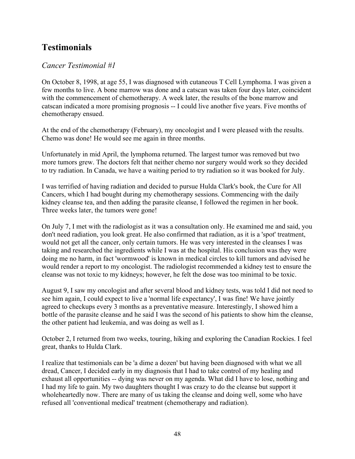# **Testimonials**

#### *Cancer Testimonial #1*

On October 8, 1998, at age 55, I was diagnosed with cutaneous T Cell Lymphoma. I was given a few months to live. A bone marrow was done and a catscan was taken four days later, coincident with the commencement of chemotherapy. A week later, the results of the bone marrow and catscan indicated a more promising prognosis -- I could live another five years. Five months of chemotherapy ensued.

At the end of the chemotherapy (February), my oncologist and I were pleased with the results. Chemo was done! He would see me again in three months.

Unfortunately in mid April, the lymphoma returned. The largest tumor was removed but two more tumors grew. The doctors felt that neither chemo nor surgery would work so they decided to try radiation. In Canada, we have a waiting period to try radiation so it was booked for July.

I was terrified of having radiation and decided to pursue Hulda Clark's book, the Cure for All Cancers, which I had bought during my chemotherapy sessions. Commencing with the daily kidney cleanse tea, and then adding the parasite cleanse, I followed the regimen in her book. Three weeks later, the tumors were gone!

On July 7, I met with the radiologist as it was a consultation only. He examined me and said, you don't need radiation, you look great. He also confirmed that radiation, as it is a 'spot' treatment, would not get all the cancer, only certain tumors. He was very interested in the cleanses I was taking and researched the ingredients while I was at the hospital. His conclusion was they were doing me no harm, in fact 'wormwood' is known in medical circles to kill tumors and advised he would render a report to my oncologist. The radiologist recommended a kidney test to ensure the cleanse was not toxic to my kidneys; however, he felt the dose was too minimal to be toxic.

August 9, I saw my oncologist and after several blood and kidney tests, was told I did not need to see him again, I could expect to live a 'normal life expectancy', I was fine! We have jointly agreed to checkups every 3 months as a preventative measure. Interestingly, I showed him a bottle of the parasite cleanse and he said I was the second of his patients to show him the cleanse, the other patient had leukemia, and was doing as well as I.

October 2, I returned from two weeks, touring, hiking and exploring the Canadian Rockies. I feel great, thanks to Hulda Clark.

I realize that testimonials can be 'a dime a dozen' but having been diagnosed with what we all dread, Cancer, I decided early in my diagnosis that I had to take control of my healing and exhaust all opportunities -- dying was never on my agenda. What did I have to lose, nothing and I had my life to gain. My two daughters thought I was crazy to do the cleanse but support it wholeheartedly now. There are many of us taking the cleanse and doing well, some who have refused all 'conventional medical' treatment (chemotherapy and radiation).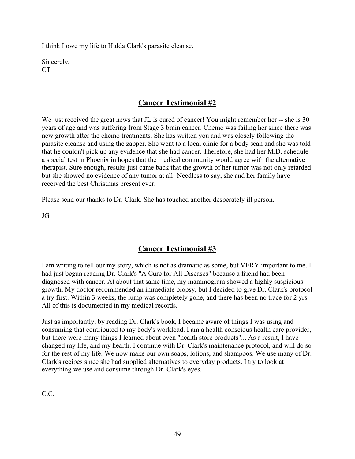I think I owe my life to Hulda Clark's parasite cleanse.

Sincerely, CT

## Cancer Testimonial #2

We just received the great news that JL is cured of cancer! You might remember her -- she is 30 years of age and was suffering from Stage 3 brain cancer. Chemo was failing her since there was new growth after the chemo treatments. She has written you and was closely following the parasite cleanse and using the zapper. She went to a local clinic for a body scan and she was told that he couldn't pick up any evidence that she had cancer. Therefore, she had her M.D. schedule a special test in Phoenix in hopes that the medical community would agree with the alternative therapist. Sure enough, results just came back that the growth of her tumor was not only retarded but she showed no evidence of any tumor at all! Needless to say, she and her family have received the best Christmas present ever.

Please send our thanks to Dr. Clark. She has touched another desperately ill person.

JG

## Cancer Testimonial #3

I am writing to tell our my story, which is not as dramatic as some, but VERY important to me. I had just begun reading Dr. Clark's "A Cure for All Diseases" because a friend had been diagnosed with cancer. At about that same time, my mammogram showed a highly suspicious growth. My doctor recommended an immediate biopsy, but I decided to give Dr. Clark's protocol a try first. Within 3 weeks, the lump was completely gone, and there has been no trace for 2 yrs. All of this is documented in my medical records.

Just as importantly, by reading Dr. Clark's book, I became aware of things I was using and consuming that contributed to my body's workload. I am a health conscious health care provider, but there were many things I learned about even "health store products"... As a result, I have changed my life, and my health. I continue with Dr. Clark's maintenance protocol, and will do so for the rest of my life. We now make our own soaps, lotions, and shampoos. We use many of Dr. Clark's recipes since she had supplied alternatives to everyday products. I try to look at everything we use and consume through Dr. Clark's eyes.

C.C.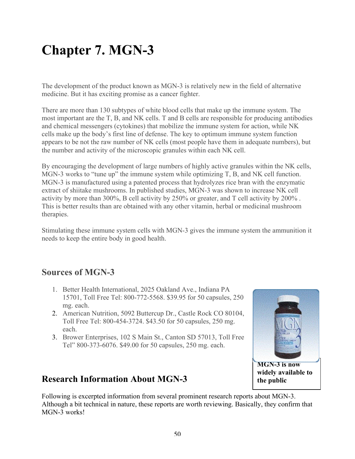# Chapter 7. MGN-3

The development of the product known as MGN-3 is relatively new in the field of alternative medicine. But it has exciting promise as a cancer fighter.

There are more than 130 subtypes of white blood cells that make up the immune system. The most important are the T, B, and NK cells. T and B cells are responsible for producing antibodies and chemical messengers (cytokines) that mobilize the immune system for action, while NK cells make up the body's first line of defense. The key to optimum immune system function appears to be not the raw number of NK cells (most people have them in adequate numbers), but the number and activity of the microscopic granules within each NK cell.

By encouraging the development of large numbers of highly active granules within the NK cells, MGN-3 works to "tune up" the immune system while optimizing T, B, and NK cell function. MGN-3 is manufactured using a patented process that hydrolyzes rice bran with the enzymatic extract of shiitake mushrooms. In published studies, MGN-3 was shown to increase NK cell activity by more than 300%, B cell activity by 250% or greater, and T cell activity by 200% . This is better results than are obtained with any other vitamin, herbal or medicinal mushroom therapies.

Stimulating these immune system cells with MGN-3 gives the immune system the ammunition it needs to keep the entire body in good health.

# Sources of MGN-3

- 1. Better Health International, 2025 Oakland Ave., Indiana PA 15701, Toll Free Tel: 800-772-5568. \$39.95 for 50 capsules, 250 mg. each.
- 2. American Nutrition, 5092 Buttercup Dr., Castle Rock CO 80104, Toll Free Tel: 800-454-3724. \$43.50 for 50 capsules, 250 mg. each.
- 3. Brower Enterprises, 102 S Main St., Canton SD 57013, Toll Free Tel" 800-373-6076. \$49.00 for 50 capsules, 250 mg. each.

# Research Information About MGN-3

Following is excerpted information from several prominent research reports about MGN-3. Although a bit technical in nature, these reports are worth reviewing. Basically, they confirm that MGN-3 works!



MGN-3 is now widely available to the public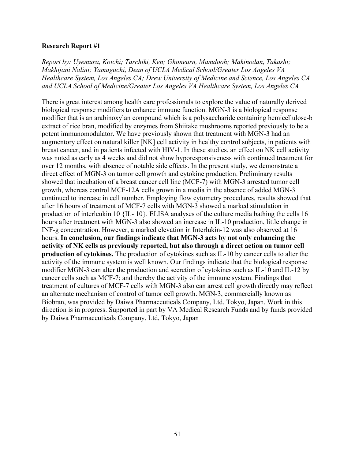#### Research Report #1

*Report by: Uyemura, Koichi; Tarchiki, Ken; Ghoneurn, Mamdooh; Makinodan, Takashi; Makhijani Nalini; Yamaguchi, Dean of UCLA Medical School/Greater Los Angeles VA Healthcare System, Los Angeles CA; Drew University of Medicine and Science, Los Angeles CA and UCLA School of Medicine/Greater Los Angeles VA Healthcare System, Los Angeles CA* 

There is great interest among health care professionals to explore the value of naturally derived biological response modifiers to enhance immune function. MGN-3 is a biological response modifier that is an arabinoxylan compound which is a polysaccharide containing hemicellulose-b extract of rice bran, modified by enzymes from Shiitake mushrooms reported previously to be a potent immunomodulator. We have previously shown that treatment with MGN-3 had an augmentory effect on natural killer [NK] cell activity in healthy control subjects, in patients with breast cancer, and in patients infected with HIV-1. In these studies, an effect on NK cell activity was noted as early as 4 weeks and did not show hyporesponsiveness with continued treatment for over 12 months, with absence of notable side effects. In the present study, we demonstrate a direct effect of MGN-3 on tumor cell growth and cytokine production. Preliminary results showed that incubation of a breast cancer cell line (MCF-7) with MGN-3 arrested tumor cell growth, whereas control MCF-12A cells grown in a media in the absence of added MGN-3 continued to increase in cell number. Employing flow cytometry procedures, results showed that after 16 hours of treatment of MCF-7 cells with MGN-3 showed a marked stimulation in production of interleukin 10 {IL- 10}. ELISA analyses of the culture media bathing the cells 16 hours after treatment with MGN-3 also showed an increase in IL-10 production, little change in INF-g concentration. However, a marked elevation in Interlukin-12 was also observed at 16 hours. In conclusion, our findings indicate that MGN-3 acts by not only enhancing the activity of NK cells as previously reported, but also through a direct action on tumor cell production of cytokines. The production of cytokines such as IL-10 by cancer cells to alter the activity of the immune system is well known. Our findings indicate that the biological response modifier MGN-3 can alter the production and secretion of cytokines such as IL-10 and IL-12 by cancer cells such as MCF-7; and thereby the activity of the immune system. Findings that treatment of cultures of MCF-7 cells with MGN-3 also can arrest cell growth directly may reflect an alternate mechanism of control of tumor cell growth. MGN-3, commercially known as Biobran, was provided by Daiwa Pharmaceuticals Company, Ltd. Tokyo, Japan. Work in this direction is in progress. Supported in part by VA Medical Research Funds and by funds provided by Daiwa Pharmaceuticals Company, Ltd, Tokyo, Japan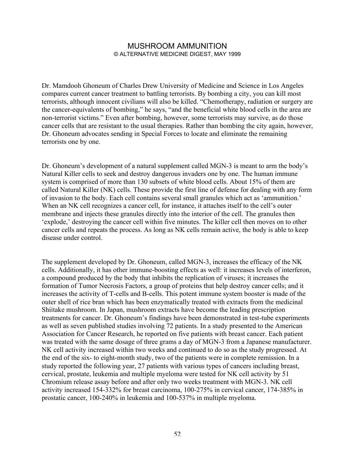#### MUSHROOM AMMUNITION © ALTERNATIVE MEDICINE DIGEST, MAY 1999

Dr. Mamdooh Ghoneum of Charles Drew University of Medicine and Science in Los Angeles compares current cancer treatment to battling terrorists. By bombing a city, you can kill most terrorists, although innocent civilians will also be killed. "Chemotherapy, radiation or surgery are the cancer-equivalents of bombing," he says, "and the beneficial white blood cells in the area are non-terrorist victims." Even after bombing, however, some terrorists may survive, as do those cancer cells that are resistant to the usual therapies. Rather than bombing the city again, however, Dr. Ghoneum advocates sending in Special Forces to locate and eliminate the remaining terrorists one by one.

Dr. Ghoneum's development of a natural supplement called MGN-3 is meant to arm the body's Natural Killer cells to seek and destroy dangerous invaders one by one. The human immune system is comprised of more than 130 subsets of white blood cells. About 15% of them are called Natural Killer (NK) cells. These provide the first line of defense for dealing with any form of invasion to the body. Each cell contains several small granules which act as 'ammunition.' When an NK cell recognizes a cancer cell, for instance, it attaches itself to the cell's outer membrane and injects these granules directly into the interior of the cell. The granules then 'explode,' destroying the cancer cell within five minutes. The killer cell then moves on to other cancer cells and repeats the process. As long as NK cells remain active, the body is able to keep disease under control.

The supplement developed by Dr. Ghoneum, called MGN-3, increases the efficacy of the NK cells. Additionally, it has other immune-boosting effects as well: it increases levels of interferon, a compound produced by the body that inhibits the replication of viruses; it increases the formation of Tumor Necrosis Factors, a group of proteins that help destroy cancer cells; and it increases the activity of T-cells and B-cells. This potent immune system booster is made of the outer shell of rice bran which has been enzymatically treated with extracts from the medicinal Shiitake mushroom. In Japan, mushroom extracts have become the leading prescription treatments for cancer. Dr. Ghoneum's findings have been demonstrated in test-tube experiments as well as seven published studies involving 72 patients. In a study presented to the American Association for Cancer Research, he reported on five patients with breast cancer. Each patient was treated with the same dosage of three grams a day of MGN-3 from a Japanese manufacturer. NK cell activity increased within two weeks and continued to do so as the study progressed. At the end of the six- to eight-month study, two of the patients were in complete remission. In a study reported the following year, 27 patients with various types of cancers including breast, cervical, prostate, leukemia and multiple myeloma were tested for NK cell activity by 51 Chromium release assay before and after only two weeks treatment with MGN-3. NK cell activity increased 154-332% for breast carcinoma, 100-275% in cervical cancer, 174-385% in prostatic cancer, 100-240% in leukemia and 100-537% in multiple myeloma.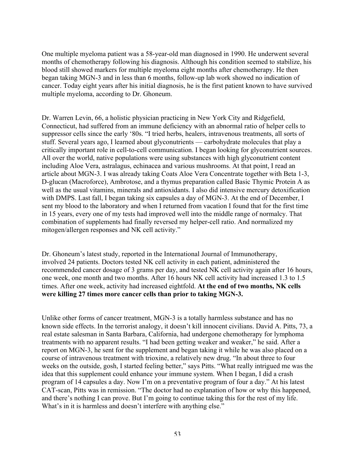One multiple myeloma patient was a 58-year-old man diagnosed in 1990. He underwent several months of chemotherapy following his diagnosis. Although his condition seemed to stabilize, his blood still showed markers for multiple myeloma eight months after chemotherapy. He then began taking MGN-3 and in less than 6 months, follow-up lab work showed no indication of cancer. Today eight years after his initial diagnosis, he is the first patient known to have survived multiple myeloma, according to Dr. Ghoneum.

Dr. Warren Levin, 66, a holistic physician practicing in New York City and Ridgefield, Connecticut, had suffered from an immune deficiency with an abnormal ratio of helper cells to suppressor cells since the early '80s. "I tried herbs, healers, intravenous treatments, all sorts of stuff. Several years ago, I learned about glyconutrients — carbohydrate molecules that play a critically important role in cell-to-cell communication. I began looking for glyconutrient sources. All over the world, native populations were using substances with high glyconutrient content including Aloe Vera, astralagus, echinacea and various mushrooms. At that point, I read an article about MGN-3. I was already taking Coats Aloe Vera Concentrate together with Beta 1-3, D-glucan (Macroforce), Ambrotose, and a thymus preparation called Basic Thymic Protein A as well as the usual vitamins, minerals and antioxidants. I also did intensive mercury detoxification with DMPS. Last fall, I began taking six capsules a day of MGN-3. At the end of December, I sent my blood to the laboratory and when I returned from vacation I found that for the first time in 15 years, every one of my tests had improved well into the middle range of normalcy. That combination of supplements had finally reversed my helper-cell ratio. And normalized my mitogen/allergen responses and NK cell activity."

Dr. Ghoneum's latest study, reported in the International Journal of Immunotherapy, involved 24 patients. Doctors tested NK cell activity in each patient, administered the recommended cancer dosage of 3 grams per day, and tested NK cell activity again after 16 hours, one week, one month and two months. After 16 hours NK cell activity had increased 1.3 to 1.5 times. After one week, activity had increased eightfold. At the end of two months, NK cells were killing 27 times more cancer cells than prior to taking MGN-3.

Unlike other forms of cancer treatment, MGN-3 is a totally harmless substance and has no known side effects. In the terrorist analogy, it doesn't kill innocent civilians. David A. Pitts, 73, a real estate salesman in Santa Barbara, California, had undergone chemotherapy for lymphoma treatments with no apparent results. "I had been getting weaker and weaker," he said. After a report on MGN-3, he sent for the supplement and began taking it while he was also placed on a course of intravenous treatment with trioxine, a relatively new drug. "In about three to four weeks on the outside, gosh, I started feeling better," says Pitts. "What really intrigued me was the idea that this supplement could enhance your immune system. When I began, I did a crash program of 14 capsules a day. Now I'm on a preventative program of four a day." At his latest CAT-scan, Pitts was in remission. "The doctor had no explanation of how or why this happened, and there's nothing I can prove. But I'm going to continue taking this for the rest of my life. What's in it is harmless and doesn't interfere with anything else."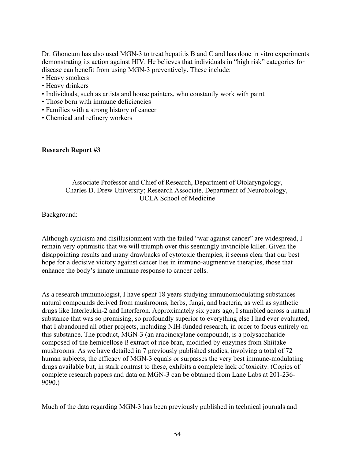Dr. Ghoneum has also used MGN-3 to treat hepatitis B and C and has done in vitro experiments demonstrating its action against HIV. He believes that individuals in "high risk" categories for disease can benefit from using MGN-3 preventively. These include:

- Heavy smokers
- Heavy drinkers
- Individuals, such as artists and house painters, who constantly work with paint
- Those born with immune deficiencies
- Families with a strong history of cancer
- Chemical and refinery workers

Research Report #3

#### Associate Professor and Chief of Research, Department of Otolaryngology, Charles D. Drew University; Research Associate, Department of Neurobiology, UCLA School of Medicine

Background:

Although cynicism and disillusionment with the failed "war against cancer" are widespread, I remain very optimistic that we will triumph over this seemingly invincible killer. Given the disappointing results and many drawbacks of cytotoxic therapies, it seems clear that our best hope for a decisive victory against cancer lies in immuno-augmentive therapies, those that enhance the body's innate immune response to cancer cells.

As a research immunologist, I have spent 18 years studying immunomodulating substances natural compounds derived from mushrooms, herbs, fungi, and bacteria, as well as synthetic drugs like Interleukin-2 and Interferon. Approximately six years ago, I stumbled across a natural substance that was so promising, so profoundly superior to everything else I had ever evaluated, that I abandoned all other projects, including NIH-funded research, in order to focus entirely on this substance. The product, MGN-3 (an arabinoxylane compound), is a polysaccharide composed of the hemicellose-ß extract of rice bran, modified by enzymes from Shiitake mushrooms. As we have detailed in 7 previously published studies, involving a total of 72 human subjects, the efficacy of MGN-3 equals or surpasses the very best immune-modulating drugs available but, in stark contrast to these, exhibits a complete lack of toxicity. (Copies of complete research papers and data on MGN-3 can be obtained from Lane Labs at 201-236- 9090.)

Much of the data regarding MGN-3 has been previously published in technical journals and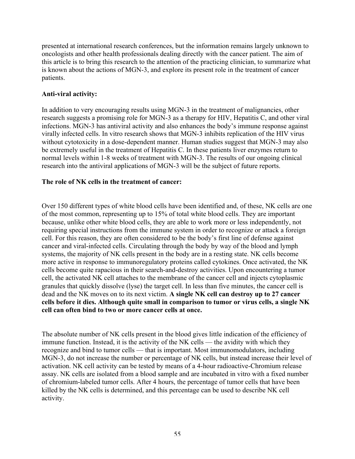presented at international research conferences, but the information remains largely unknown to oncologists and other health professionals dealing directly with the cancer patient. The aim of this article is to bring this research to the attention of the practicing clinician, to summarize what is known about the actions of MGN-3, and explore its present role in the treatment of cancer patients.

#### Anti-viral activity:

In addition to very encouraging results using MGN-3 in the treatment of malignancies, other research suggests a promising role for MGN-3 as a therapy for HIV, Hepatitis C, and other viral infections. MGN-3 has antiviral activity and also enhances the body's immune response against virally infected cells. In vitro research shows that MGN-3 inhibits replication of the HIV virus without cytotoxicity in a dose-dependent manner. Human studies suggest that MGN-3 may also be extremely useful in the treatment of Hepatitis C. In these patients liver enzymes return to normal levels within 1-8 weeks of treatment with MGN-3. The results of our ongoing clinical research into the antiviral applications of MGN-3 will be the subject of future reports.

#### The role of NK cells in the treatment of cancer:

Over 150 different types of white blood cells have been identified and, of these, NK cells are one of the most common, representing up to 15% of total white blood cells. They are important because, unlike other white blood cells, they are able to work more or less independently, not requiring special instructions from the immune system in order to recognize or attack a foreign cell. For this reason, they are often considered to be the body's first line of defense against cancer and viral-infected cells. Circulating through the body by way of the blood and lymph systems, the majority of NK cells present in the body are in a resting state. NK cells become more active in response to immunoregulatory proteins called cytokines. Once activated, the NK cells become quite rapacious in their search-and-destroy activities. Upon encountering a tumor cell, the activated NK cell attaches to the membrane of the cancer cell and injects cytoplasmic granules that quickly dissolve (lyse) the target cell. In less than five minutes, the cancer cell is dead and the NK moves on to its next victim. A single NK cell can destroy up to 27 cancer cells before it dies. Although quite small in comparison to tumor or virus cells, a single NK cell can often bind to two or more cancer cells at once.

The absolute number of NK cells present in the blood gives little indication of the efficiency of immune function. Instead, it is the activity of the NK cells — the avidity with which they recognize and bind to tumor cells — that is important. Most immunomodulators, including MGN-3, do not increase the number or percentage of NK cells, but instead increase their level of activation. NK cell activity can be tested by means of a 4-hour radioactive-Chromium release assay. NK cells are isolated from a blood sample and are incubated in vitro with a fixed number of chromium-labeled tumor cells. After 4 hours, the percentage of tumor cells that have been killed by the NK cells is determined, and this percentage can be used to describe NK cell activity.